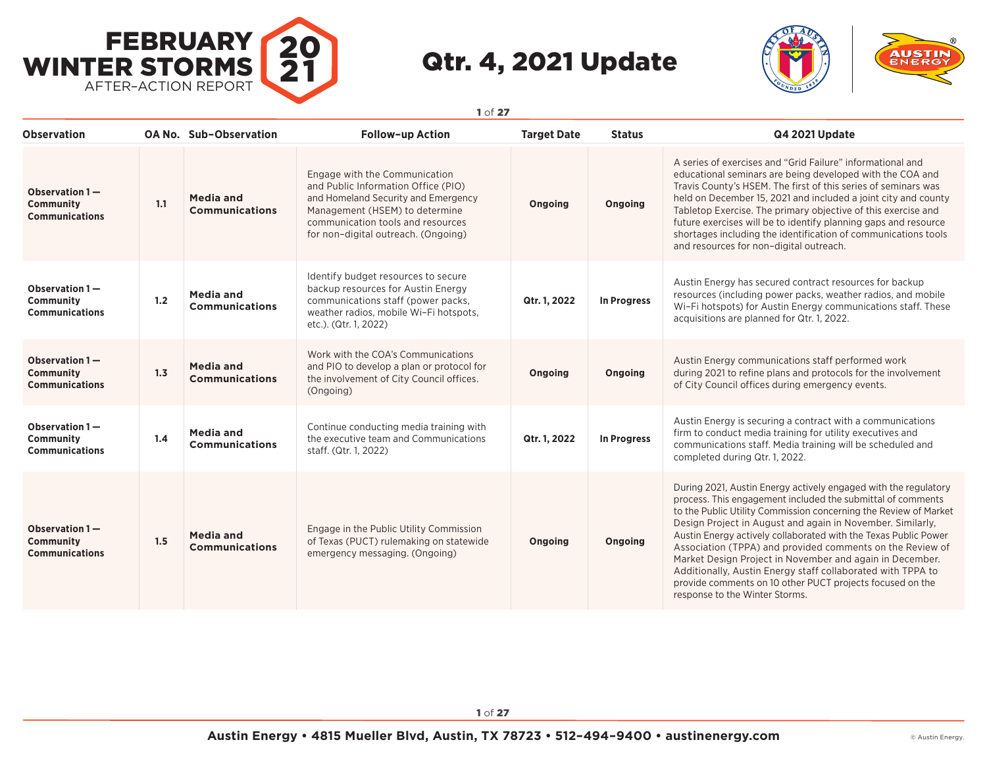



| <b>Observation</b>                                          |     | <b>OA No. Sub-Observation</b>             | <b>Follow-up Action</b>                                                                                                                                                                                                   | <b>Target Date</b> | <b>Status</b> | Q4 2021 Update                                                                                                                                                                                                                                                                                                                                                                                                                                                                                                                                                                                                             |
|-------------------------------------------------------------|-----|-------------------------------------------|---------------------------------------------------------------------------------------------------------------------------------------------------------------------------------------------------------------------------|--------------------|---------------|----------------------------------------------------------------------------------------------------------------------------------------------------------------------------------------------------------------------------------------------------------------------------------------------------------------------------------------------------------------------------------------------------------------------------------------------------------------------------------------------------------------------------------------------------------------------------------------------------------------------------|
| Observation 1-<br>Community<br><b>Communications</b>        | 1.1 | <b>Media and</b><br><b>Communications</b> | Engage with the Communication<br>and Public Information Office (PIO)<br>and Homeland Security and Emergency<br>Management (HSEM) to determine<br>communication tools and resources<br>for non-digital outreach. (Ongoing) | Ongoing            | Ongoing       | A series of exercises and "Grid Failure" informational and<br>educational seminars are being developed with the COA and<br>Travis County's HSEM. The first of this series of seminars was<br>held on December 15, 2021 and included a joint city and county<br>Tabletop Exercise. The primary objective of this exercise and<br>future exercises will be to identify planning gaps and resource<br>shortages including the identification of communications tools<br>and resources for non-digital outreach.                                                                                                               |
| Observation 1-<br>Community<br><b>Communications</b>        | 1.2 | <b>Media and</b><br><b>Communications</b> | Identify budget resources to secure<br>backup resources for Austin Energy<br>communications staff (power packs,<br>weather radios, mobile Wi-Fi hotspots,<br>etc.). (Qtr. 1, 2022)                                        | Qtr. 1, 2022       | In Progress   | Austin Energy has secured contract resources for backup<br>resources (including power packs, weather radios, and mobile<br>Wi-Fi hotspots) for Austin Energy communications staff. These<br>acquisitions are planned for Qtr. 1, 2022.                                                                                                                                                                                                                                                                                                                                                                                     |
| Observation 1-<br><b>Community</b><br><b>Communications</b> | 1.3 | <b>Media and</b><br><b>Communications</b> | Work with the COA's Communications<br>and PIO to develop a plan or protocol for<br>the involvement of City Council offices.<br>(Ongoing)                                                                                  | Ongoing            | Ongoing       | Austin Energy communications staff performed work<br>during 2021 to refine plans and protocols for the involvement<br>of City Council offices during emergency events.                                                                                                                                                                                                                                                                                                                                                                                                                                                     |
| Observation 1-<br>Community<br><b>Communications</b>        | 1.4 | <b>Media and</b><br><b>Communications</b> | Continue conducting media training with<br>the executive team and Communications<br>staff. (Qtr. 1, 2022)                                                                                                                 | Qtr. 1, 2022       | In Progress   | Austin Energy is securing a contract with a communications<br>firm to conduct media training for utility executives and<br>communications staff. Media training will be scheduled and<br>completed during Qtr. 1, 2022.                                                                                                                                                                                                                                                                                                                                                                                                    |
| Observation 1-<br>Community<br><b>Communications</b>        | 1.5 | <b>Media and</b><br><b>Communications</b> | Engage in the Public Utility Commission<br>of Texas (PUCT) rulemaking on statewide<br>emergency messaging. (Ongoing)                                                                                                      | Ongoing            | Ongoing       | During 2021, Austin Energy actively engaged with the regulatory<br>process. This engagement included the submittal of comments<br>to the Public Utility Commission concerning the Review of Market<br>Design Project in August and again in November. Similarly,<br>Austin Energy actively collaborated with the Texas Public Power<br>Association (TPPA) and provided comments on the Review of<br>Market Design Project in November and again in December.<br>Additionally, Austin Energy staff collaborated with TPPA to<br>provide comments on 10 other PUCT projects focused on the<br>response to the Winter Storms. |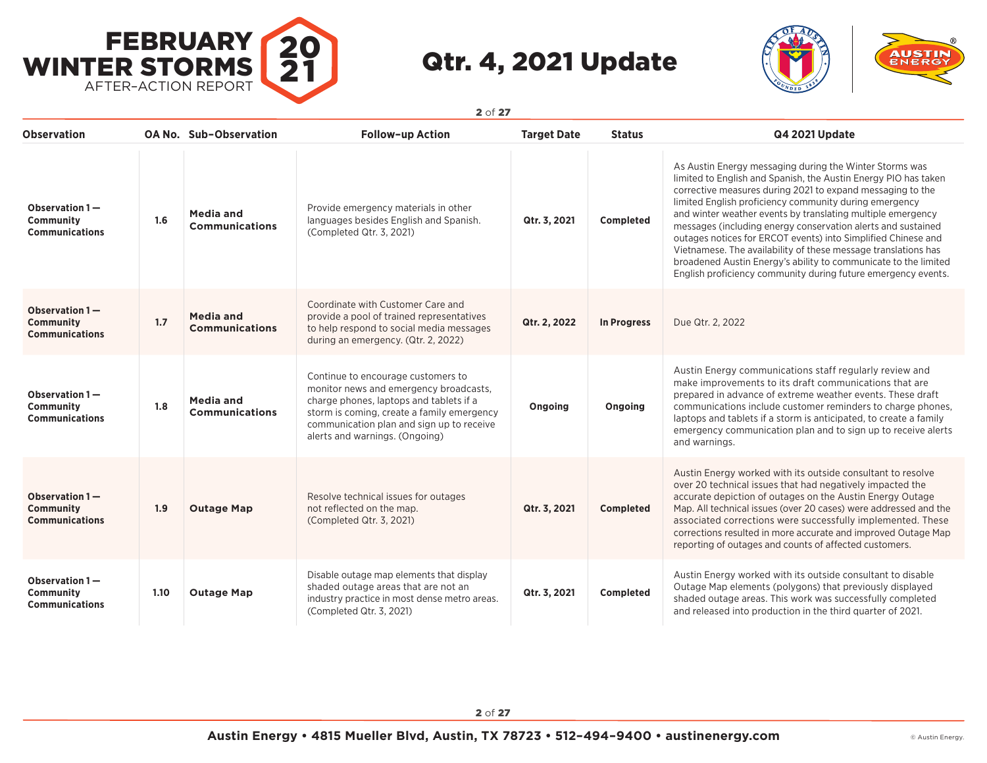



**Observation OA No. Sub–Observation Follow–up Action Target Date Status Q4 2021 Update Observation 1 — Community Communications 1.6 Media and Communications** Provide emergency materials in other languages besides English and Spanish. (Completed Qtr. 3, 2021) **Qtr. 3, 2021 Completed** As Austin Energy messaging during the Winter Storms was limited to English and Spanish, the Austin Energy PIO has taken corrective measures during 2021 to expand messaging to the limited English proficiency community during emergency and winter weather events by translating multiple emergency messages (including energy conservation alerts and sustained outages notices for ERCOT events) into Simplified Chinese and Vietnamese. The availability of these message translations has broadened Austin Energy's ability to communicate to the limited English proficiency community during future emergency events. **Observation 1 — Community Communications 1.7 Media and Communications** Coordinate with Customer Care and provide a pool of trained representatives to help respond to social media messages during an emergency. (Qtr. 2, 2022) **Qtr. 2, 2022 In Progress** Due Qtr. 2, 2022 **Observation 1 — Community Communications 1.8 Media and Communications** Continue to encourage customers to monitor news and emergency broadcasts, charge phones, laptops and tablets if a storm is coming, create a family emergency communication plan and sign up to receive alerts and warnings. (Ongoing) **Ongoing Ongoing** Austin Energy communications staff regularly review and make improvements to its draft communications that are prepared in advance of extreme weather events. These draft communications include customer reminders to charge phones, laptops and tablets if a storm is anticipated, to create a family emergency communication plan and to sign up to receive alerts and warnings. **Observation 1 — Community Communications 1.9 Outage Map** Resolve technical issues for outages not reflected on the map. (Completed Qtr. 3, 2021) **Qtr. 3, 2021 Completed** Austin Energy worked with its outside consultant to resolve over 20 technical issues that had negatively impacted the accurate depiction of outages on the Austin Energy Outage Map. All technical issues (over 20 cases) were addressed and the associated corrections were successfully implemented. These corrections resulted in more accurate and improved Outage Map reporting of outages and counts of affected customers. **Observation 1 — Community Communications 1.10 Outage Map** Disable outage map elements that display shaded outage areas that are not an industry practice in most dense metro areas. (Completed Qtr. 3, 2021) **Qtr. 3, 2021 Completed** Austin Energy worked with its outside consultant to disable Outage Map elements (polygons) that previously displayed shaded outage areas. This work was successfully completed and released into production in the third quarter of 2021.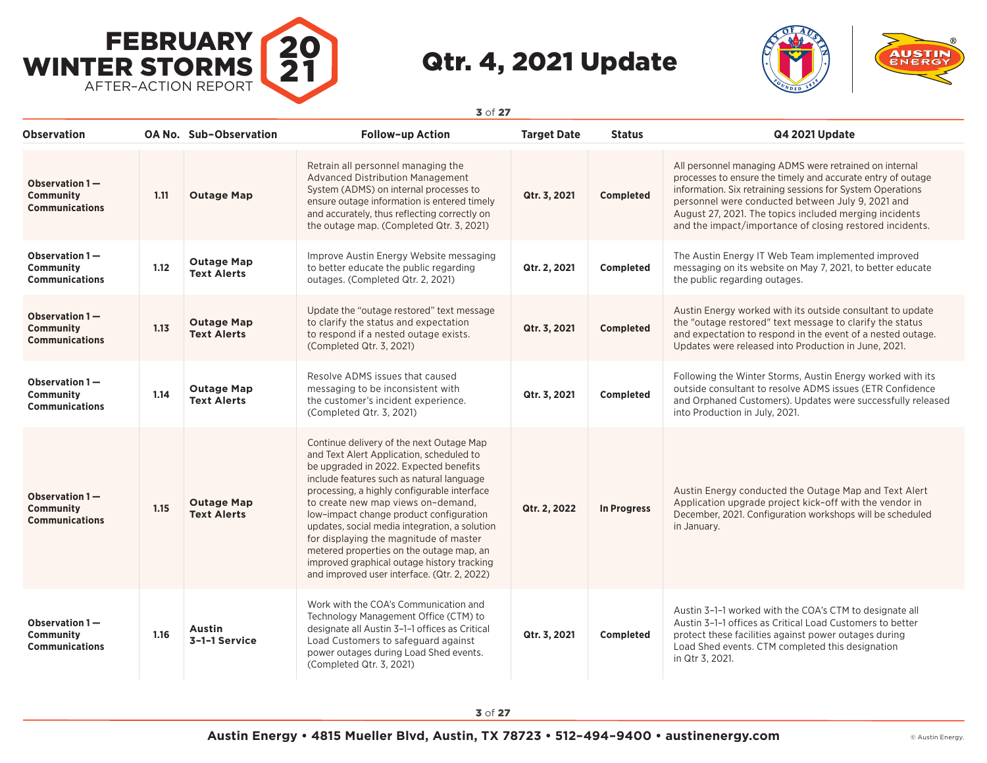



| <b>Observation</b>                                          |      | <b>OA No. Sub-Observation</b>           | <b>Follow-up Action</b>                                                                                                                                                                                                                                                                                                                                                                                                                                                                                                                         | <b>Target Date</b> | <b>Status</b>      | Q4 2021 Update                                                                                                                                                                                                                                                                                                                                                 |
|-------------------------------------------------------------|------|-----------------------------------------|-------------------------------------------------------------------------------------------------------------------------------------------------------------------------------------------------------------------------------------------------------------------------------------------------------------------------------------------------------------------------------------------------------------------------------------------------------------------------------------------------------------------------------------------------|--------------------|--------------------|----------------------------------------------------------------------------------------------------------------------------------------------------------------------------------------------------------------------------------------------------------------------------------------------------------------------------------------------------------------|
| Observation 1-<br><b>Community</b><br><b>Communications</b> | 1.11 | <b>Outage Map</b>                       | Retrain all personnel managing the<br>Advanced Distribution Management<br>System (ADMS) on internal processes to<br>ensure outage information is entered timely<br>and accurately, thus reflecting correctly on<br>the outage map. (Completed Qtr. 3, 2021)                                                                                                                                                                                                                                                                                     | Qtr. 3, 2021       | <b>Completed</b>   | All personnel managing ADMS were retrained on internal<br>processes to ensure the timely and accurate entry of outage<br>information. Six retraining sessions for System Operations<br>personnel were conducted between July 9, 2021 and<br>August 27, 2021. The topics included merging incidents<br>and the impact/importance of closing restored incidents. |
| Observation 1-<br>Community<br><b>Communications</b>        | 1.12 | <b>Outage Map</b><br><b>Text Alerts</b> | Improve Austin Energy Website messaging<br>to better educate the public regarding<br>outages. (Completed Qtr. 2, 2021)                                                                                                                                                                                                                                                                                                                                                                                                                          | Qtr. 2, 2021       | Completed          | The Austin Energy IT Web Team implemented improved<br>messaging on its website on May 7, 2021, to better educate<br>the public regarding outages.                                                                                                                                                                                                              |
| Observation 1-<br><b>Community</b><br><b>Communications</b> | 1.13 | <b>Outage Map</b><br><b>Text Alerts</b> | Update the "outage restored" text message<br>to clarify the status and expectation<br>to respond if a nested outage exists.<br>(Completed Qtr. 3, 2021)                                                                                                                                                                                                                                                                                                                                                                                         | Qtr. 3, 2021       | <b>Completed</b>   | Austin Energy worked with its outside consultant to update<br>the "outage restored" text message to clarify the status<br>and expectation to respond in the event of a nested outage.<br>Updates were released into Production in June, 2021.                                                                                                                  |
| Observation 1-<br>Community<br><b>Communications</b>        | 1.14 | <b>Outage Map</b><br><b>Text Alerts</b> | Resolve ADMS issues that caused<br>messaging to be inconsistent with<br>the customer's incident experience.<br>(Completed Qtr. 3, 2021)                                                                                                                                                                                                                                                                                                                                                                                                         | Qtr. 3, 2021       | Completed          | Following the Winter Storms, Austin Energy worked with its<br>outside consultant to resolve ADMS issues (ETR Confidence<br>and Orphaned Customers). Updates were successfully released<br>into Production in July, 2021.                                                                                                                                       |
| Observation 1-<br><b>Community</b><br><b>Communications</b> | 1.15 | <b>Outage Map</b><br><b>Text Alerts</b> | Continue delivery of the next Outage Map<br>and Text Alert Application, scheduled to<br>be upgraded in 2022. Expected benefits<br>include features such as natural language<br>processing, a highly configurable interface<br>to create new map views on-demand,<br>low-impact change product configuration<br>updates, social media integration, a solution<br>for displaying the magnitude of master<br>metered properties on the outage map, an<br>improved graphical outage history tracking<br>and improved user interface. (Qtr. 2, 2022) | Qtr. 2, 2022       | <b>In Progress</b> | Austin Energy conducted the Outage Map and Text Alert<br>Application upgrade project kick-off with the vendor in<br>December, 2021. Configuration workshops will be scheduled<br>in January.                                                                                                                                                                   |
| Observation 1-<br>Community<br><b>Communications</b>        | 1.16 | Austin<br>3-1-1 Service                 | Work with the COA's Communication and<br>Technology Management Office (CTM) to<br>designate all Austin 3-1-1 offices as Critical<br>Load Customers to safeguard against<br>power outages during Load Shed events.<br>(Completed Qtr. 3, 2021)                                                                                                                                                                                                                                                                                                   | Qtr. 3, 2021       | Completed          | Austin 3-1-1 worked with the COA's CTM to designate all<br>Austin 3-1-1 offices as Critical Load Customers to better<br>protect these facilities against power outages during<br>Load Shed events. CTM completed this designation<br>in Qtr 3, 2021.                                                                                                           |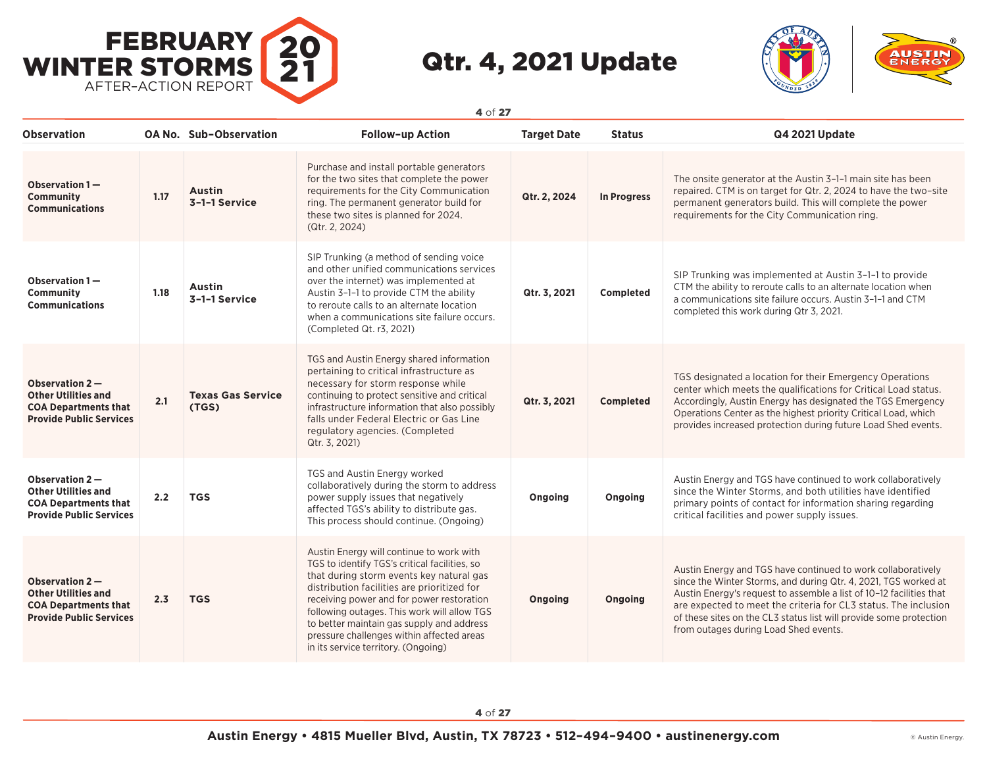



**Observation OA No. Sub–Observation Follow–up Action Target Date Status Q4 2021 Update Observation 1 — Community Communications 1.17 Austin 3–1–1 Service** Purchase and install portable generators for the two sites that complete the power requirements for the City Communication ring. The permanent generator build for these two sites is planned for 2024. (Qtr. 2, 2024) **Qtr. 2, 2024 In Progress** The onsite generator at the Austin 3–1–1 main site has been repaired. CTM is on target for Qtr. 2, 2024 to have the two–site permanent generators build. This will complete the power requirements for the City Communication ring. **Observation 1 — Community Communications 1.18 Austin 3–1–1 Service** SIP Trunking (a method of sending voice and other unified communications services over the internet) was implemented at Austin 3–1–1 to provide CTM the ability to reroute calls to an alternate location when a communications site failure occurs. (Completed Qt. r3, 2021) **Qtr. 3, 2021 Completed** SIP Trunking was implemented at Austin 3–1–1 to provide CTM the ability to reroute calls to an alternate location when a communications site failure occurs. Austin 3–1–1 and CTM completed this work during Qtr 3, 2021. **Observation 2 — Other Utilities and COA Departments that Provide Public Services 2.1 Texas Gas Service (TGS)** TGS and Austin Energy shared information pertaining to critical infrastructure as necessary for storm response while continuing to protect sensitive and critical infrastructure information that also possibly falls under Federal Electric or Gas Line regulatory agencies. (Completed Qtr. 3, 2021) **Qtr. 3, 2021 Completed** TGS designated a location for their Emergency Operations center which meets the qualifications for Critical Load status. Accordingly, Austin Energy has designated the TGS Emergency Operations Center as the highest priority Critical Load, which provides increased protection during future Load Shed events. **Observation 2 — Other Utilities and COA Departments that Provide Public Services 2.2 TGS** TGS and Austin Energy worked collaboratively during the storm to address power supply issues that negatively affected TGS's ability to distribute gas. This process should continue. (Ongoing) **Ongoing Ongoing** Austin Energy and TGS have continued to work collaboratively since the Winter Storms, and both utilities have identified primary points of contact for information sharing regarding critical facilities and power supply issues. **Observation 2 — Other Utilities and COA Departments that Provide Public Services 2.3 TGS** Austin Energy will continue to work with TGS to identify TGS's critical facilities, so that during storm events key natural gas distribution facilities are prioritized for receiving power and for power restoration following outages. This work will allow TGS to better maintain gas supply and address pressure challenges within affected areas in its service territory. (Ongoing) **Ongoing Ongoing** Austin Energy and TGS have continued to work collaboratively since the Winter Storms, and during Qtr. 4, 2021, TGS worked at Austin Energy's request to assemble a list of 10–12 facilities that are expected to meet the criteria for CL3 status. The inclusion of these sites on the CL3 status list will provide some protection from outages during Load Shed events.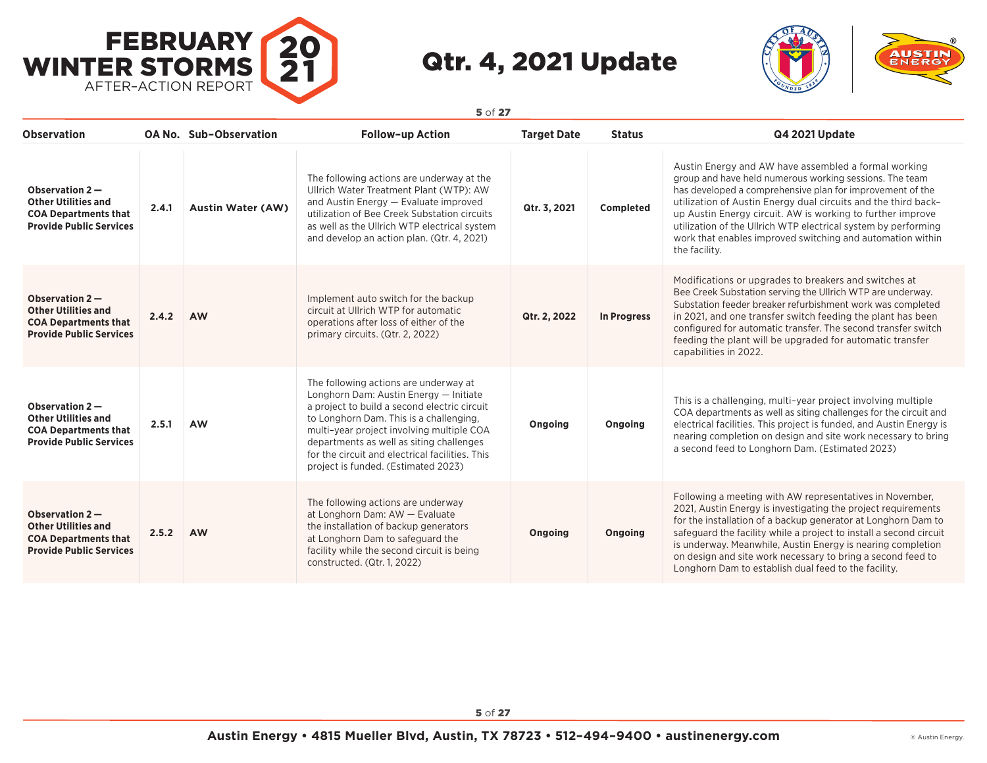



| <b>Observation</b>                                                                                              |       | OA No. Sub-Observation   | <b>Follow-up Action</b>                                                                                                                                                                                                                                                                                                                                       | <b>Target Date</b> | <b>Status</b>      | Q4 2021 Update                                                                                                                                                                                                                                                                                                                                                                                                                                                |
|-----------------------------------------------------------------------------------------------------------------|-------|--------------------------|---------------------------------------------------------------------------------------------------------------------------------------------------------------------------------------------------------------------------------------------------------------------------------------------------------------------------------------------------------------|--------------------|--------------------|---------------------------------------------------------------------------------------------------------------------------------------------------------------------------------------------------------------------------------------------------------------------------------------------------------------------------------------------------------------------------------------------------------------------------------------------------------------|
| Observation $2-$<br><b>Other Utilities and</b><br><b>COA Departments that</b><br><b>Provide Public Services</b> | 2.4.1 | <b>Austin Water (AW)</b> | The following actions are underway at the<br>Ullrich Water Treatment Plant (WTP): AW<br>and Austin Energy - Evaluate improved<br>utilization of Bee Creek Substation circuits<br>as well as the Ullrich WTP electrical system<br>and develop an action plan. (Qtr. 4, 2021)                                                                                   | Qtr. 3, 2021       | Completed          | Austin Energy and AW have assembled a formal working<br>group and have held numerous working sessions. The team<br>has developed a comprehensive plan for improvement of the<br>utilization of Austin Energy dual circuits and the third back-<br>up Austin Energy circuit. AW is working to further improve<br>utilization of the Ullrich WTP electrical system by performing<br>work that enables improved switching and automation within<br>the facility. |
| Observation $2-$<br><b>Other Utilities and</b><br><b>COA Departments that</b><br><b>Provide Public Services</b> | 2.4.2 | <b>AW</b>                | Implement auto switch for the backup<br>circuit at Ullrich WTP for automatic<br>operations after loss of either of the<br>primary circuits. (Qtr. 2, 2022)                                                                                                                                                                                                    | Qtr. 2, 2022       | <b>In Progress</b> | Modifications or upgrades to breakers and switches at<br>Bee Creek Substation serving the Ullrich WTP are underway.<br>Substation feeder breaker refurbishment work was completed<br>in 2021, and one transfer switch feeding the plant has been<br>configured for automatic transfer. The second transfer switch<br>feeding the plant will be upgraded for automatic transfer<br>capabilities in 2022.                                                       |
| Observation $2-$<br><b>Other Utilities and</b><br><b>COA Departments that</b><br><b>Provide Public Services</b> | 2.5.1 | <b>AW</b>                | The following actions are underway at<br>Longhorn Dam: Austin Energy - Initiate<br>a project to build a second electric circuit<br>to Longhorn Dam. This is a challenging,<br>multi-year project involving multiple COA<br>departments as well as siting challenges<br>for the circuit and electrical facilities. This<br>project is funded. (Estimated 2023) | Ongoing            | Ongoing            | This is a challenging, multi-year project involving multiple<br>COA departments as well as siting challenges for the circuit and<br>electrical facilities. This project is funded, and Austin Energy is<br>nearing completion on design and site work necessary to bring<br>a second feed to Longhorn Dam. (Estimated 2023)                                                                                                                                   |
| Observation $2-$<br><b>Other Utilities and</b><br><b>COA Departments that</b><br><b>Provide Public Services</b> | 2.5.2 | <b>AW</b>                | The following actions are underway<br>at Longhorn Dam: AW - Evaluate<br>the installation of backup generators<br>at Longhorn Dam to safeguard the<br>facility while the second circuit is being<br>constructed. (Qtr. 1, 2022)                                                                                                                                | Ongoing            | Ongoing            | Following a meeting with AW representatives in November,<br>2021, Austin Energy is investigating the project requirements<br>for the installation of a backup generator at Longhorn Dam to<br>safeguard the facility while a project to install a second circuit<br>is underway. Meanwhile, Austin Energy is nearing completion<br>on design and site work necessary to bring a second feed to<br>Longhorn Dam to establish dual feed to the facility.        |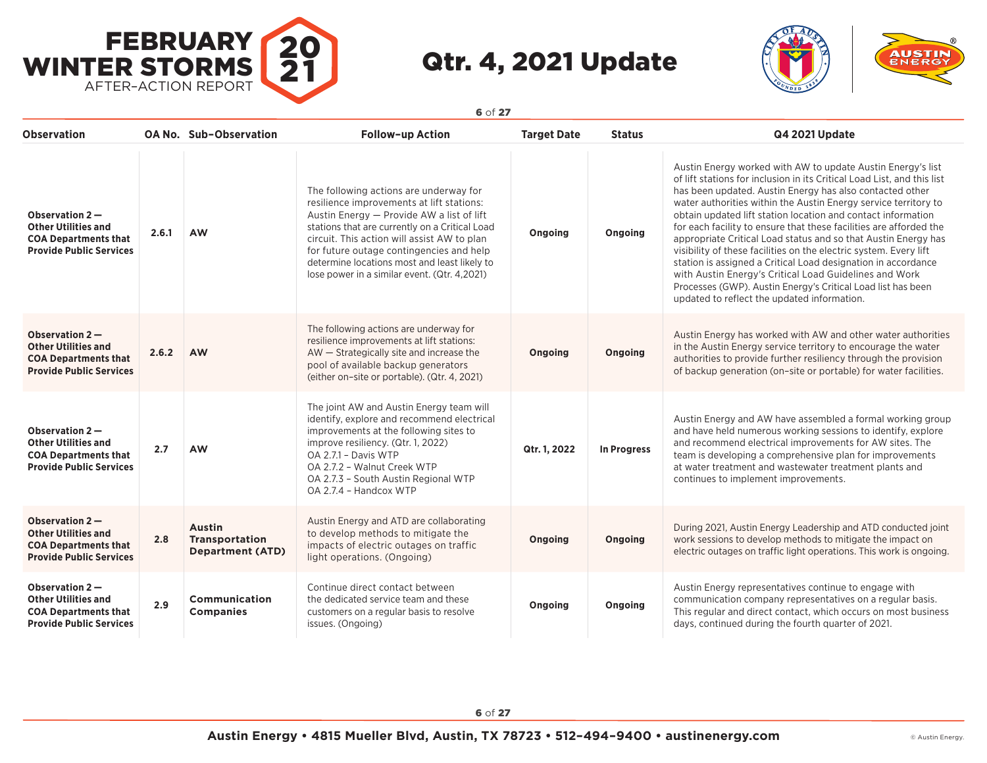



| <b>Observation</b>                                                                                              |       | <b>OA No. Sub-Observation</b>                              | <b>Follow-up Action</b>                                                                                                                                                                                                                                                                                                                                                       | <b>Target Date</b> | <b>Status</b> | <b>Q4 2021 Update</b>                                                                                                                                                                                                                                                                                                                                                                                                                                                                                                                                                                                                                                                                                                                                                                        |
|-----------------------------------------------------------------------------------------------------------------|-------|------------------------------------------------------------|-------------------------------------------------------------------------------------------------------------------------------------------------------------------------------------------------------------------------------------------------------------------------------------------------------------------------------------------------------------------------------|--------------------|---------------|----------------------------------------------------------------------------------------------------------------------------------------------------------------------------------------------------------------------------------------------------------------------------------------------------------------------------------------------------------------------------------------------------------------------------------------------------------------------------------------------------------------------------------------------------------------------------------------------------------------------------------------------------------------------------------------------------------------------------------------------------------------------------------------------|
| Observation $2-$<br><b>Other Utilities and</b><br><b>COA Departments that</b><br><b>Provide Public Services</b> | 2.6.1 | <b>AW</b>                                                  | The following actions are underway for<br>resilience improvements at lift stations:<br>Austin Energy - Provide AW a list of lift<br>stations that are currently on a Critical Load<br>circuit. This action will assist AW to plan<br>for future outage contingencies and help<br>determine locations most and least likely to<br>lose power in a similar event. (Qtr. 4,2021) | Ongoing            | Ongoing       | Austin Energy worked with AW to update Austin Energy's list<br>of lift stations for inclusion in its Critical Load List, and this list<br>has been updated. Austin Energy has also contacted other<br>water authorities within the Austin Energy service territory to<br>obtain updated lift station location and contact information<br>for each facility to ensure that these facilities are afforded the<br>appropriate Critical Load status and so that Austin Energy has<br>visibility of these facilities on the electric system. Every lift<br>station is assigned a Critical Load designation in accordance<br>with Austin Energy's Critical Load Guidelines and Work<br>Processes (GWP). Austin Energy's Critical Load list has been<br>updated to reflect the updated information. |
| Observation 2-<br><b>Other Utilities and</b><br><b>COA Departments that</b><br><b>Provide Public Services</b>   | 2.6.2 | <b>AW</b>                                                  | The following actions are underway for<br>resilience improvements at lift stations:<br>AW - Strategically site and increase the<br>pool of available backup generators<br>(either on-site or portable). (Qtr. 4, 2021)                                                                                                                                                        | Ongoing            | Ongoing       | Austin Energy has worked with AW and other water authorities<br>in the Austin Energy service territory to encourage the water<br>authorities to provide further resiliency through the provision<br>of backup generation (on-site or portable) for water facilities.                                                                                                                                                                                                                                                                                                                                                                                                                                                                                                                         |
| Observation $2-$<br><b>Other Utilities and</b><br><b>COA Departments that</b><br><b>Provide Public Services</b> | 2.7   | <b>AW</b>                                                  | The joint AW and Austin Energy team will<br>identify, explore and recommend electrical<br>improvements at the following sites to<br>improve resiliency. (Qtr. 1, 2022)<br>OA 2.7.1 - Davis WTP<br>OA 2.7.2 - Walnut Creek WTP<br>OA 2.7.3 - South Austin Regional WTP<br>OA 2.7.4 - Handcox WTP                                                                               | Qtr. 1, 2022       | In Progress   | Austin Energy and AW have assembled a formal working group<br>and have held numerous working sessions to identify, explore<br>and recommend electrical improvements for AW sites. The<br>team is developing a comprehensive plan for improvements<br>at water treatment and wastewater treatment plants and<br>continues to implement improvements.                                                                                                                                                                                                                                                                                                                                                                                                                                          |
| Observation 2-<br><b>Other Utilities and</b><br><b>COA Departments that</b><br><b>Provide Public Services</b>   | 2.8   | <b>Austin</b><br>Transportation<br><b>Department (ATD)</b> | Austin Energy and ATD are collaborating<br>to develop methods to mitigate the<br>impacts of electric outages on traffic<br>light operations. (Ongoing)                                                                                                                                                                                                                        | Ongoing            | Ongoing       | During 2021, Austin Energy Leadership and ATD conducted joint<br>work sessions to develop methods to mitigate the impact on<br>electric outages on traffic light operations. This work is ongoing.                                                                                                                                                                                                                                                                                                                                                                                                                                                                                                                                                                                           |
| Observation $2-$<br><b>Other Utilities and</b><br><b>COA Departments that</b><br><b>Provide Public Services</b> | 2.9   | <b>Communication</b><br><b>Companies</b>                   | Continue direct contact between<br>the dedicated service team and these<br>customers on a regular basis to resolve<br>issues. (Ongoing)                                                                                                                                                                                                                                       | Ongoing            | Ongoing       | Austin Energy representatives continue to engage with<br>communication company representatives on a regular basis.<br>This regular and direct contact, which occurs on most business<br>days, continued during the fourth quarter of 2021.                                                                                                                                                                                                                                                                                                                                                                                                                                                                                                                                                   |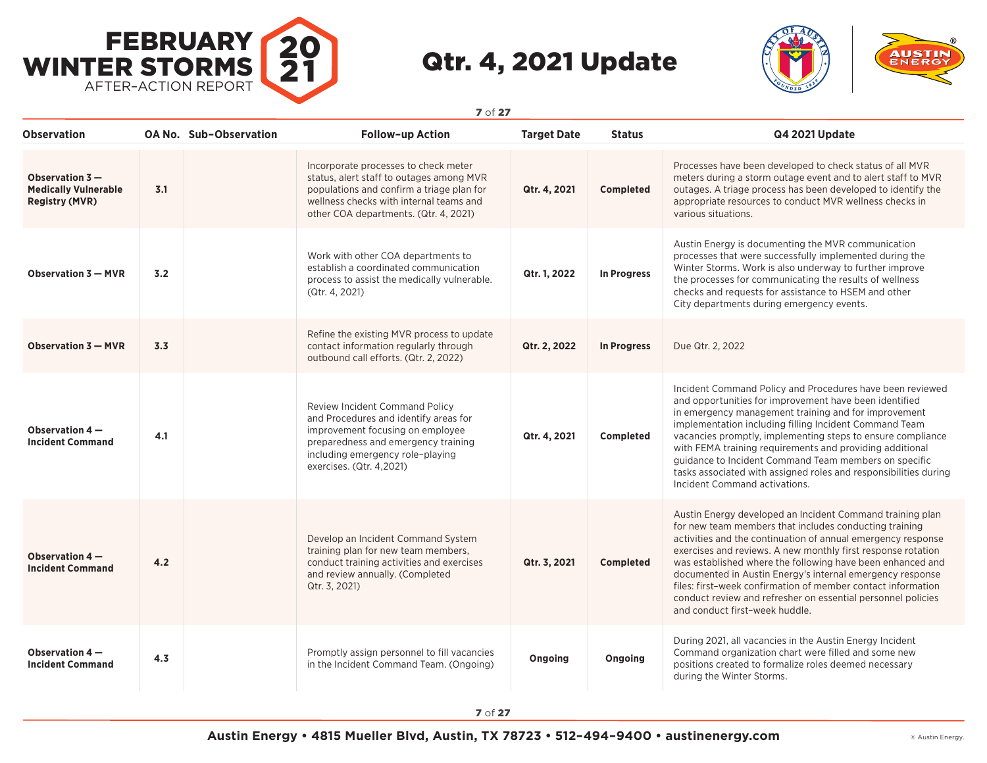



| Observation                                                              |     | <b>OA No. Sub-Observation</b> | <b>Follow-up Action</b>                                                                                                                                                                                                   | <b>Target Date</b> | <b>Status</b>      | Q4 2021 Update                                                                                                                                                                                                                                                                                                                                                                                                                                                                                                                                   |
|--------------------------------------------------------------------------|-----|-------------------------------|---------------------------------------------------------------------------------------------------------------------------------------------------------------------------------------------------------------------------|--------------------|--------------------|--------------------------------------------------------------------------------------------------------------------------------------------------------------------------------------------------------------------------------------------------------------------------------------------------------------------------------------------------------------------------------------------------------------------------------------------------------------------------------------------------------------------------------------------------|
| Observation $3-$<br><b>Medically Vulnerable</b><br><b>Registry (MVR)</b> | 3.1 |                               | Incorporate processes to check meter<br>status, alert staff to outages among MVR<br>populations and confirm a triage plan for<br>wellness checks with internal teams and<br>other COA departments. (Qtr. 4, 2021)         | Qtr. 4, 2021       | Completed          | Processes have been developed to check status of all MVR<br>meters during a storm outage event and to alert staff to MVR<br>outages. A triage process has been developed to identify the<br>appropriate resources to conduct MVR wellness checks in<br>various situations.                                                                                                                                                                                                                                                                       |
| Observation 3 - MVR                                                      | 3.2 |                               | Work with other COA departments to<br>establish a coordinated communication<br>process to assist the medically vulnerable.<br>(Qtr. 4, 2021)                                                                              | Qtr. 1, 2022       | In Progress        | Austin Energy is documenting the MVR communication<br>processes that were successfully implemented during the<br>Winter Storms. Work is also underway to further improve<br>the processes for communicating the results of wellness<br>checks and requests for assistance to HSEM and other<br>City departments during emergency events.                                                                                                                                                                                                         |
| <b>Observation 3 - MVR</b>                                               | 3.3 |                               | Refine the existing MVR process to update<br>contact information regularly through<br>outbound call efforts. (Qtr. 2, 2022)                                                                                               | Qtr. 2, 2022       | <b>In Progress</b> | Due Qtr. 2, 2022                                                                                                                                                                                                                                                                                                                                                                                                                                                                                                                                 |
| Observation 4-<br><b>Incident Command</b>                                | 4.1 |                               | <b>Review Incident Command Policy</b><br>and Procedures and identify areas for<br>improvement focusing on employee<br>preparedness and emergency training<br>including emergency role-playing<br>exercises. (Qtr. 4,2021) | Qtr. 4, 2021       | Completed          | Incident Command Policy and Procedures have been reviewed<br>and opportunities for improvement have been identified<br>in emergency management training and for improvement<br>implementation including filling Incident Command Team<br>vacancies promptly, implementing steps to ensure compliance<br>with FEMA training requirements and providing additional<br>guidance to Incident Command Team members on specific<br>tasks associated with assigned roles and responsibilities during<br>Incident Command activations.                   |
| Observation 4-<br><b>Incident Command</b>                                | 4.2 |                               | Develop an Incident Command System<br>training plan for new team members,<br>conduct training activities and exercises<br>and review annually. (Completed<br>Qtr. 3, 2021)                                                | Qtr. 3, 2021       | <b>Completed</b>   | Austin Energy developed an Incident Command training plan<br>for new team members that includes conducting training<br>activities and the continuation of annual emergency response<br>exercises and reviews. A new monthly first response rotation<br>was established where the following have been enhanced and<br>documented in Austin Energy's internal emergency response<br>files: first-week confirmation of member contact information<br>conduct review and refresher on essential personnel policies<br>and conduct first-week huddle. |
| Observation 4 -<br><b>Incident Command</b>                               | 4.3 |                               | Promptly assign personnel to fill vacancies<br>in the Incident Command Team. (Ongoing)                                                                                                                                    | Ongoing            | Ongoing            | During 2021, all vacancies in the Austin Energy Incident<br>Command organization chart were filled and some new<br>positions created to formalize roles deemed necessary<br>during the Winter Storms.                                                                                                                                                                                                                                                                                                                                            |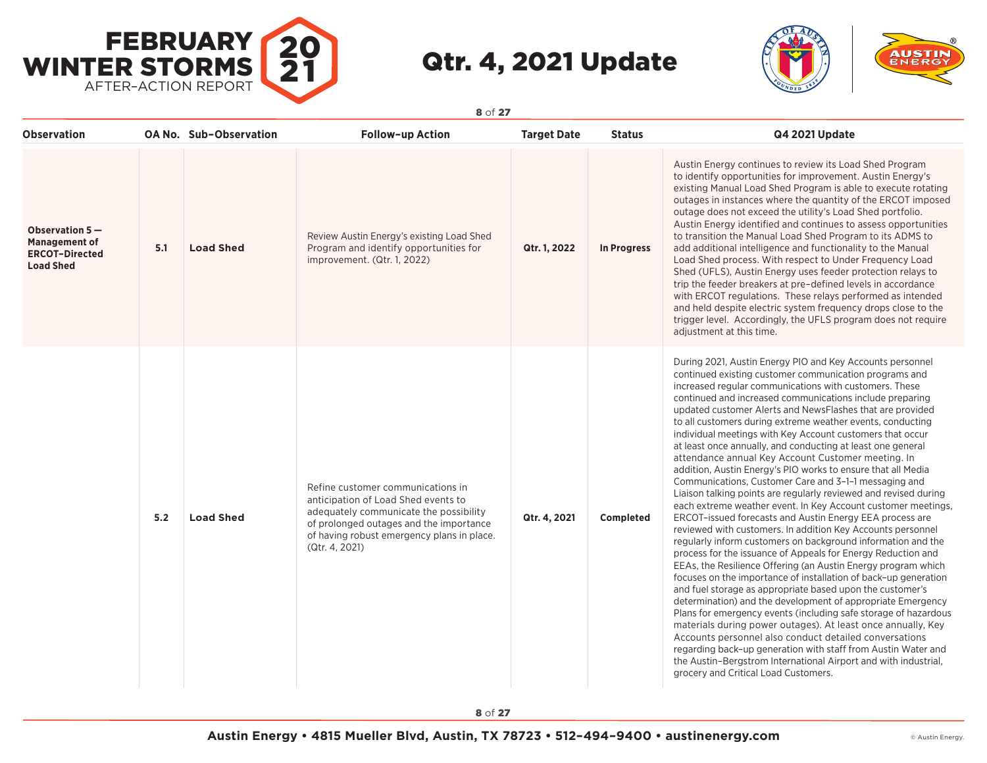



| <b>Observation</b>                                                                    |     | <b>OA No. Sub-Observation</b> | Follow-up Action                                                                                                                                                                                                              | <b>Target Date</b> | <b>Status</b>      | Q4 2021 Update                                                                                                                                                                                                                                                                                                                                                                                                                                                                                                                                                                                                                                                                                                                                                                                                                                                                                                                                                                                                                                                                                                                                                                                                                                                                                                                                                                                                                                                                                                                                                                                                                                                                                                           |
|---------------------------------------------------------------------------------------|-----|-------------------------------|-------------------------------------------------------------------------------------------------------------------------------------------------------------------------------------------------------------------------------|--------------------|--------------------|--------------------------------------------------------------------------------------------------------------------------------------------------------------------------------------------------------------------------------------------------------------------------------------------------------------------------------------------------------------------------------------------------------------------------------------------------------------------------------------------------------------------------------------------------------------------------------------------------------------------------------------------------------------------------------------------------------------------------------------------------------------------------------------------------------------------------------------------------------------------------------------------------------------------------------------------------------------------------------------------------------------------------------------------------------------------------------------------------------------------------------------------------------------------------------------------------------------------------------------------------------------------------------------------------------------------------------------------------------------------------------------------------------------------------------------------------------------------------------------------------------------------------------------------------------------------------------------------------------------------------------------------------------------------------------------------------------------------------|
| Observation $5-$<br><b>Management of</b><br><b>ERCOT-Directed</b><br><b>Load Shed</b> | 5.1 | <b>Load Shed</b>              | Review Austin Energy's existing Load Shed<br>Program and identify opportunities for<br>improvement. (Qtr. 1, 2022)                                                                                                            | Qtr. 1, 2022       | <b>In Progress</b> | Austin Energy continues to review its Load Shed Program<br>to identify opportunities for improvement. Austin Energy's<br>existing Manual Load Shed Program is able to execute rotating<br>outages in instances where the quantity of the ERCOT imposed<br>outage does not exceed the utility's Load Shed portfolio.<br>Austin Energy identified and continues to assess opportunities<br>to transition the Manual Load Shed Program to its ADMS to<br>add additional intelligence and functionality to the Manual<br>Load Shed process. With respect to Under Frequency Load<br>Shed (UFLS), Austin Energy uses feeder protection relays to<br>trip the feeder breakers at pre-defined levels in accordance<br>with ERCOT regulations. These relays performed as intended<br>and held despite electric system frequency drops close to the<br>trigger level. Accordingly, the UFLS program does not require<br>adjustment at this time.                                                                                                                                                                                                                                                                                                                                                                                                                                                                                                                                                                                                                                                                                                                                                                                  |
|                                                                                       | 5.2 | <b>Load Shed</b>              | Refine customer communications in<br>anticipation of Load Shed events to<br>adequately communicate the possibility<br>of prolonged outages and the importance<br>of having robust emergency plans in place.<br>(Qtr. 4, 2021) | Qtr. 4, 2021       | Completed          | During 2021, Austin Energy PIO and Key Accounts personnel<br>continued existing customer communication programs and<br>increased regular communications with customers. These<br>continued and increased communications include preparing<br>updated customer Alerts and NewsFlashes that are provided<br>to all customers during extreme weather events, conducting<br>individual meetings with Key Account customers that occur<br>at least once annually, and conducting at least one general<br>attendance annual Key Account Customer meeting. In<br>addition, Austin Energy's PIO works to ensure that all Media<br>Communications, Customer Care and 3-1-1 messaging and<br>Liaison talking points are regularly reviewed and revised during<br>each extreme weather event. In Key Account customer meetings,<br>ERCOT-issued forecasts and Austin Energy EEA process are<br>reviewed with customers. In addition Key Accounts personnel<br>regularly inform customers on background information and the<br>process for the issuance of Appeals for Energy Reduction and<br>EEAs, the Resilience Offering (an Austin Energy program which<br>focuses on the importance of installation of back-up generation<br>and fuel storage as appropriate based upon the customer's<br>determination) and the development of appropriate Emergency<br>Plans for emergency events (including safe storage of hazardous<br>materials during power outages). At least once annually, Key<br>Accounts personnel also conduct detailed conversations<br>regarding back-up generation with staff from Austin Water and<br>the Austin-Bergstrom International Airport and with industrial,<br>grocery and Critical Load Customers. |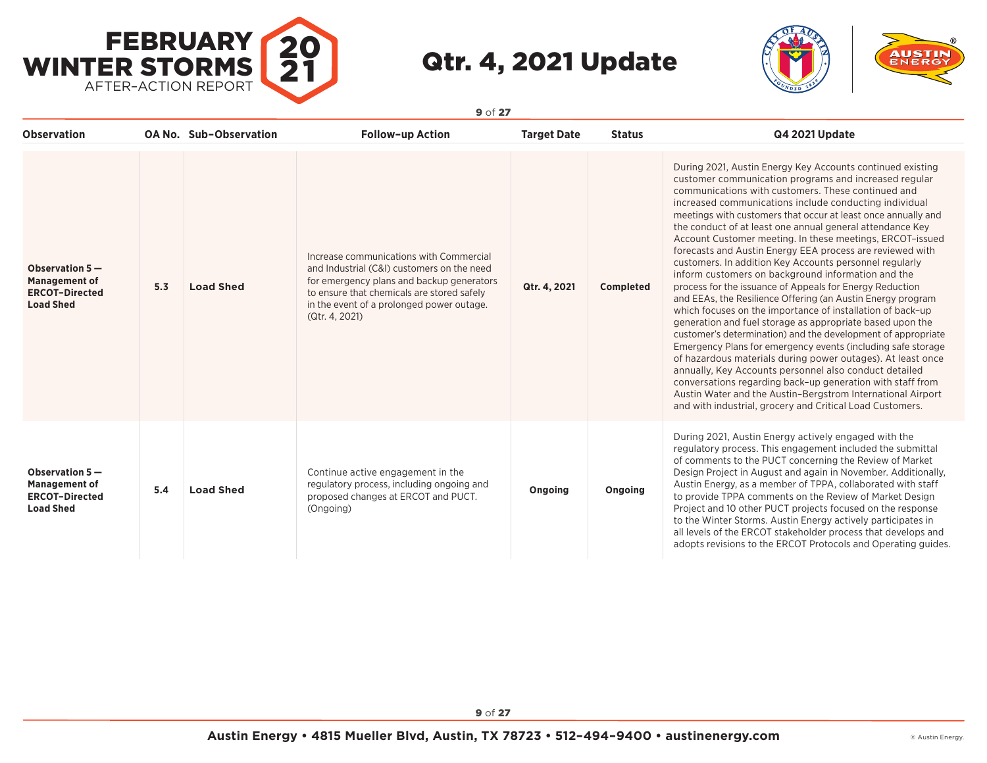



| <b>Observation</b>                                                                  |     | <b>OA No. Sub-Observation</b> | <b>Follow-up Action</b>                                                                                                                                                                                                                         | <b>Target Date</b> | <b>Status</b>    | <b>Q4 2021 Update</b>                                                                                                                                                                                                                                                                                                                                                                                                                                                                                                                                                                                                                                                                                                                                                                                                                                                                                                                                                                                                                                                                                                                                                                                                                                                                                                 |
|-------------------------------------------------------------------------------------|-----|-------------------------------|-------------------------------------------------------------------------------------------------------------------------------------------------------------------------------------------------------------------------------------------------|--------------------|------------------|-----------------------------------------------------------------------------------------------------------------------------------------------------------------------------------------------------------------------------------------------------------------------------------------------------------------------------------------------------------------------------------------------------------------------------------------------------------------------------------------------------------------------------------------------------------------------------------------------------------------------------------------------------------------------------------------------------------------------------------------------------------------------------------------------------------------------------------------------------------------------------------------------------------------------------------------------------------------------------------------------------------------------------------------------------------------------------------------------------------------------------------------------------------------------------------------------------------------------------------------------------------------------------------------------------------------------|
| Observation 5-<br><b>Management of</b><br><b>ERCOT-Directed</b><br><b>Load Shed</b> | 5.3 | <b>Load Shed</b>              | Increase communications with Commercial<br>and Industrial (C&I) customers on the need<br>for emergency plans and backup generators<br>to ensure that chemicals are stored safely<br>in the event of a prolonged power outage.<br>(Qtr. 4, 2021) | Qtr. 4, 2021       | <b>Completed</b> | During 2021, Austin Energy Key Accounts continued existing<br>customer communication programs and increased regular<br>communications with customers. These continued and<br>increased communications include conducting individual<br>meetings with customers that occur at least once annually and<br>the conduct of at least one annual general attendance Key<br>Account Customer meeting. In these meetings, ERCOT-issued<br>forecasts and Austin Energy EEA process are reviewed with<br>customers. In addition Key Accounts personnel regularly<br>inform customers on background information and the<br>process for the issuance of Appeals for Energy Reduction<br>and EEAs, the Resilience Offering (an Austin Energy program<br>which focuses on the importance of installation of back-up<br>generation and fuel storage as appropriate based upon the<br>customer's determination) and the development of appropriate<br>Emergency Plans for emergency events (including safe storage<br>of hazardous materials during power outages). At least once<br>annually, Key Accounts personnel also conduct detailed<br>conversations regarding back-up generation with staff from<br>Austin Water and the Austin-Bergstrom International Airport<br>and with industrial, grocery and Critical Load Customers. |
| Observation 5-<br><b>Management of</b><br><b>ERCOT-Directed</b><br><b>Load Shed</b> | 5.4 | <b>Load Shed</b>              | Continue active engagement in the<br>regulatory process, including ongoing and<br>proposed changes at ERCOT and PUCT.<br>(Ongoing)                                                                                                              | Ongoing            | Ongoing          | During 2021, Austin Energy actively engaged with the<br>regulatory process. This engagement included the submittal<br>of comments to the PUCT concerning the Review of Market<br>Design Project in August and again in November. Additionally,<br>Austin Energy, as a member of TPPA, collaborated with staff<br>to provide TPPA comments on the Review of Market Design<br>Project and 10 other PUCT projects focused on the response<br>to the Winter Storms. Austin Energy actively participates in<br>all levels of the ERCOT stakeholder process that develops and<br>adopts revisions to the ERCOT Protocols and Operating guides.                                                                                                                                                                                                                                                                                                                                                                                                                                                                                                                                                                                                                                                                              |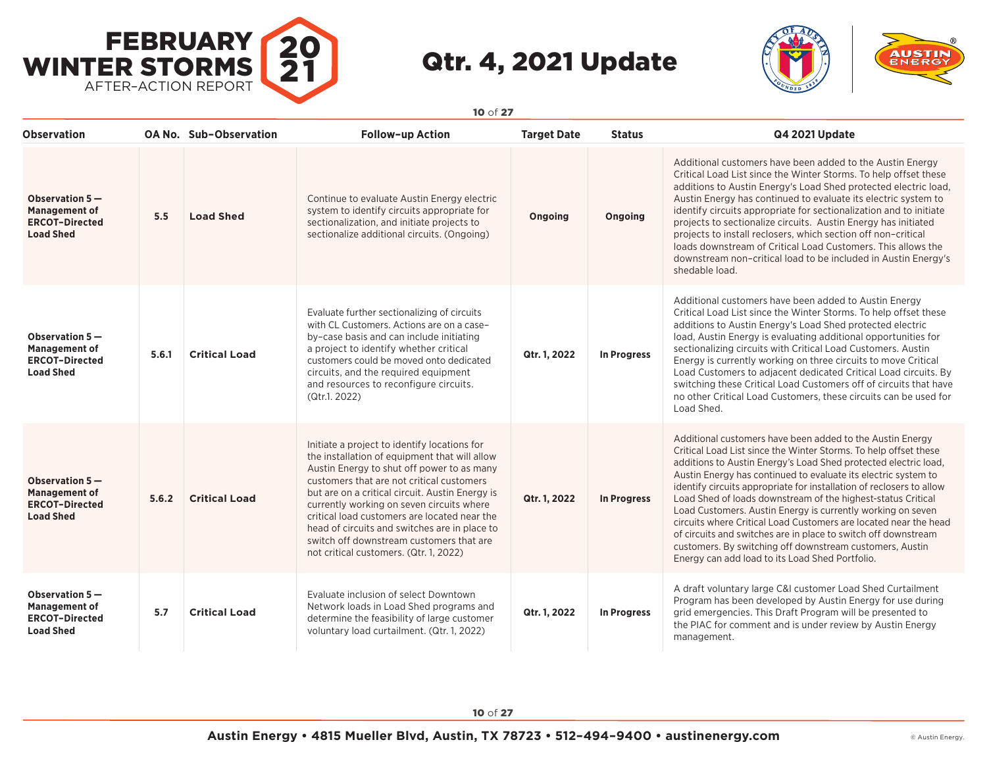



**Observation OA No. Sub–Observation Follow–up Action Target Date Status Q4 2021 Update Observation 5 — Management of ERCOT–Directed Load Shed 5.5 Load Shed** Continue to evaluate Austin Energy electric system to identify circuits appropriate for sectionalization, and initiate projects to sectionalize additional circuits. (Ongoing) **Ongoing Ongoing** Additional customers have been added to the Austin Energy Critical Load List since the Winter Storms. To help offset these additions to Austin Energy's Load Shed protected electric load, Austin Energy has continued to evaluate its electric system to identify circuits appropriate for sectionalization and to initiate projects to sectionalize circuits. Austin Energy has initiated projects to install reclosers, which section off non–critical loads downstream of Critical Load Customers. This allows the downstream non–critical load to be included in Austin Energy's shedable load. **Observation 5 — Management of ERCOT–Directed Load Shed 5.6.1 Critical Load** Evaluate further sectionalizing of circuits with CL Customers. Actions are on a case– by–case basis and can include initiating a project to identify whether critical customers could be moved onto dedicated circuits, and the required equipment and resources to reconfigure circuits. (Qtr.1. 2022) **Qtr. 1, 2022 In Progress** Additional customers have been added to Austin Energy Critical Load List since the Winter Storms. To help offset these additions to Austin Energy's Load Shed protected electric load, Austin Energy is evaluating additional opportunities for sectionalizing circuits with Critical Load Customers. Austin Energy is currently working on three circuits to move Critical Load Customers to adjacent dedicated Critical Load circuits. By switching these Critical Load Customers off of circuits that have no other Critical Load Customers, these circuits can be used for Load Shed. **Observation 5 — Management of ERCOT–Directed Load Shed 5.6.2 Critical Load** Initiate a project to identify locations for the installation of equipment that will allow Austin Energy to shut off power to as many customers that are not critical customers but are on a critical circuit. Austin Energy is currently working on seven circuits where critical load customers are located near the head of circuits and switches are in place to switch off downstream customers that are not critical customers. (Qtr. 1, 2022) **Qtr. 1, 2022 In Progress** Additional customers have been added to the Austin Energy Critical Load List since the Winter Storms. To help offset these additions to Austin Energy's Load Shed protected electric load, Austin Energy has continued to evaluate its electric system to identify circuits appropriate for installation of reclosers to allow Load Shed of loads downstream of the highest-status Critical Load Customers. Austin Energy is currently working on seven circuits where Critical Load Customers are located near the head of circuits and switches are in place to switch off downstream customers. By switching off downstream customers, Austin Energy can add load to its Load Shed Portfolio. **Observation 5 — Management of ERCOT–Directed Load Shed 5.7 Critical Load** Evaluate inclusion of select Downtown Network loads in Load Shed programs and determine the feasibility of large customer voluntary load curtailment. (Qtr. 1, 2022) **Qtr. 1, 2022 In Progress** A draft voluntary large C&I customer Load Shed Curtailment Program has been developed by Austin Energy for use during grid emergencies. This Draft Program will be presented to the PIAC for comment and is under review by Austin Energy management.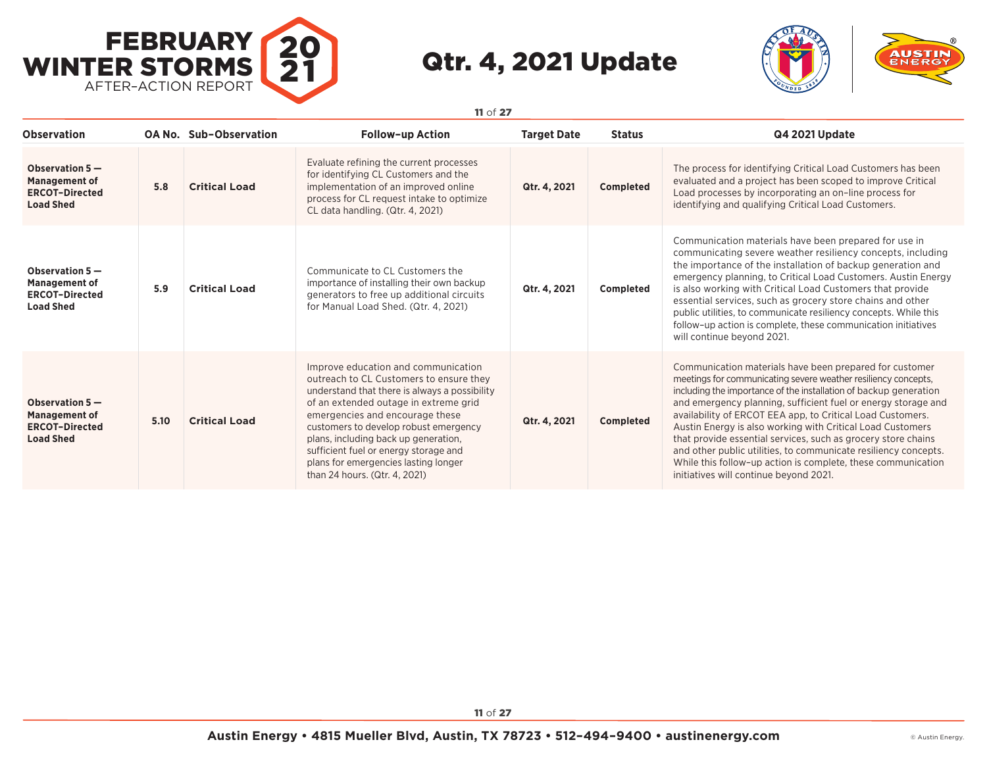



**Observation OA No. Sub–Observation Follow–up Action Target Date Status Q4 2021 Update Observation 5 — Management of ERCOT–Directed Load Shed 5.8 Critical Load** Evaluate refining the current processes for identifying CL Customers and the implementation of an improved online process for CL request intake to optimize CL data handling. (Qtr. 4, 2021) **Qtr. 4, 2021 Completed** The process for identifying Critical Load Customers has been evaluated and a project has been scoped to improve Critical Load processes by incorporating an on–line process for identifying and qualifying Critical Load Customers. **Observation 5 — Management of ERCOT–Directed Load Shed 5.9 Critical Load** Communicate to CL Customers the importance of installing their own backup generators to free up additional circuits for Manual Load Shed. (Qtr. 4, 2021) **Qtr. 4, 2021 Completed** Communication materials have been prepared for use in communicating severe weather resiliency concepts, including the importance of the installation of backup generation and emergency planning, to Critical Load Customers. Austin Energy is also working with Critical Load Customers that provide essential services, such as grocery store chains and other public utilities, to communicate resiliency concepts. While this follow–up action is complete, these communication initiatives will continue beyond 2021. **Observation 5 — Management of ERCOT–Directed Load Shed 5.10 Critical Load** Improve education and communication outreach to CL Customers to ensure they understand that there is always a possibility of an extended outage in extreme grid emergencies and encourage these customers to develop robust emergency plans, including back up generation, sufficient fuel or energy storage and plans for emergencies lasting longer than 24 hours. (Qtr. 4, 2021) **Qtr. 4, 2021 Completed** Communication materials have been prepared for customer meetings for communicating severe weather resiliency concepts, including the importance of the installation of backup generation and emergency planning, sufficient fuel or energy storage and availability of ERCOT EEA app, to Critical Load Customers. Austin Energy is also working with Critical Load Customers that provide essential services, such as grocery store chains and other public utilities, to communicate resiliency concepts. While this follow–up action is complete, these communication initiatives will continue beyond 2021.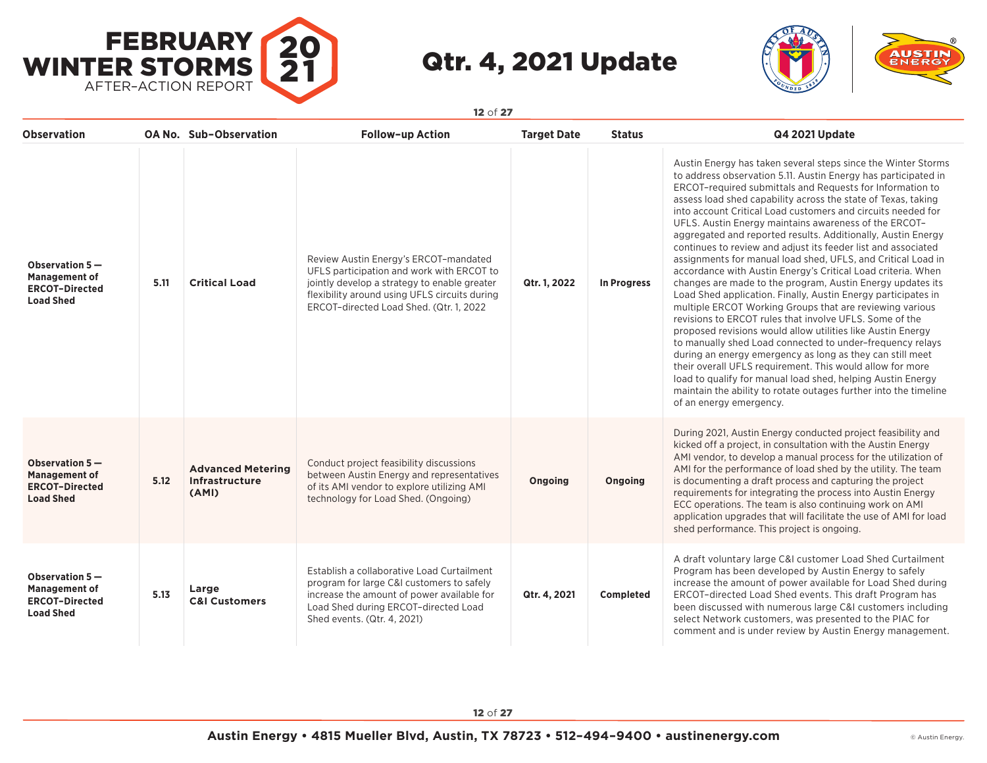



| <b>Observation</b>                                                                    |      | OA No. Sub-Observation                              | <b>Follow-up Action</b>                                                                                                                                                                                                        | <b>Target Date</b> | <b>Status</b> | Q4 2021 Update                                                                                                                                                                                                                                                                                                                                                                                                                                                                                                                                                                                                                                                                                                                                                                                                                                                                                                                                                                                                                                                                                                                                                                                                                                                                                                                    |
|---------------------------------------------------------------------------------------|------|-----------------------------------------------------|--------------------------------------------------------------------------------------------------------------------------------------------------------------------------------------------------------------------------------|--------------------|---------------|-----------------------------------------------------------------------------------------------------------------------------------------------------------------------------------------------------------------------------------------------------------------------------------------------------------------------------------------------------------------------------------------------------------------------------------------------------------------------------------------------------------------------------------------------------------------------------------------------------------------------------------------------------------------------------------------------------------------------------------------------------------------------------------------------------------------------------------------------------------------------------------------------------------------------------------------------------------------------------------------------------------------------------------------------------------------------------------------------------------------------------------------------------------------------------------------------------------------------------------------------------------------------------------------------------------------------------------|
| Observation 5-<br><b>Management of</b><br><b>ERCOT-Directed</b><br><b>Load Shed</b>   | 5.11 | <b>Critical Load</b>                                | Review Austin Energy's ERCOT-mandated<br>UFLS participation and work with ERCOT to<br>jointly develop a strategy to enable greater<br>flexibility around using UFLS circuits during<br>ERCOT-directed Load Shed. (Qtr. 1, 2022 | Qtr. 1, 2022       | In Progress   | Austin Energy has taken several steps since the Winter Storms<br>to address observation 5.11. Austin Energy has participated in<br>ERCOT-required submittals and Requests for Information to<br>assess load shed capability across the state of Texas, taking<br>into account Critical Load customers and circuits needed for<br>UFLS. Austin Energy maintains awareness of the ERCOT-<br>aggregated and reported results. Additionally, Austin Energy<br>continues to review and adjust its feeder list and associated<br>assignments for manual load shed, UFLS, and Critical Load in<br>accordance with Austin Energy's Critical Load criteria. When<br>changes are made to the program, Austin Energy updates its<br>Load Shed application. Finally, Austin Energy participates in<br>multiple ERCOT Working Groups that are reviewing various<br>revisions to ERCOT rules that involve UFLS. Some of the<br>proposed revisions would allow utilities like Austin Energy<br>to manually shed Load connected to under-frequency relays<br>during an energy emergency as long as they can still meet<br>their overall UFLS requirement. This would allow for more<br>load to qualify for manual load shed, helping Austin Energy<br>maintain the ability to rotate outages further into the timeline<br>of an energy emergency. |
| Observation $5-$<br><b>Management of</b><br><b>ERCOT-Directed</b><br><b>Load Shed</b> | 5.12 | <b>Advanced Metering</b><br>Infrastructure<br>(AMI) | Conduct project feasibility discussions<br>between Austin Energy and representatives<br>of its AMI vendor to explore utilizing AMI<br>technology for Load Shed. (Ongoing)                                                      | Ongoing            | Ongoing       | During 2021, Austin Energy conducted project feasibility and<br>kicked off a project, in consultation with the Austin Energy<br>AMI vendor, to develop a manual process for the utilization of<br>AMI for the performance of load shed by the utility. The team<br>is documenting a draft process and capturing the project<br>requirements for integrating the process into Austin Energy<br>ECC operations. The team is also continuing work on AMI<br>application upgrades that will facilitate the use of AMI for load<br>shed performance. This project is ongoing.                                                                                                                                                                                                                                                                                                                                                                                                                                                                                                                                                                                                                                                                                                                                                          |
| Observation 5-<br><b>Management of</b><br><b>ERCOT-Directed</b><br><b>Load Shed</b>   | 5.13 | Large<br><b>C&amp;I Customers</b>                   | Establish a collaborative Load Curtailment<br>program for large C&I customers to safely<br>increase the amount of power available for<br>Load Shed during ERCOT-directed Load<br>Shed events. (Qtr. 4, 2021)                   | Qtr. 4, 2021       | Completed     | A draft voluntary large C&I customer Load Shed Curtailment<br>Program has been developed by Austin Energy to safely<br>increase the amount of power available for Load Shed during<br>ERCOT-directed Load Shed events. This draft Program has<br>been discussed with numerous large C&I customers including<br>select Network customers, was presented to the PIAC for<br>comment and is under review by Austin Energy management.                                                                                                                                                                                                                                                                                                                                                                                                                                                                                                                                                                                                                                                                                                                                                                                                                                                                                                |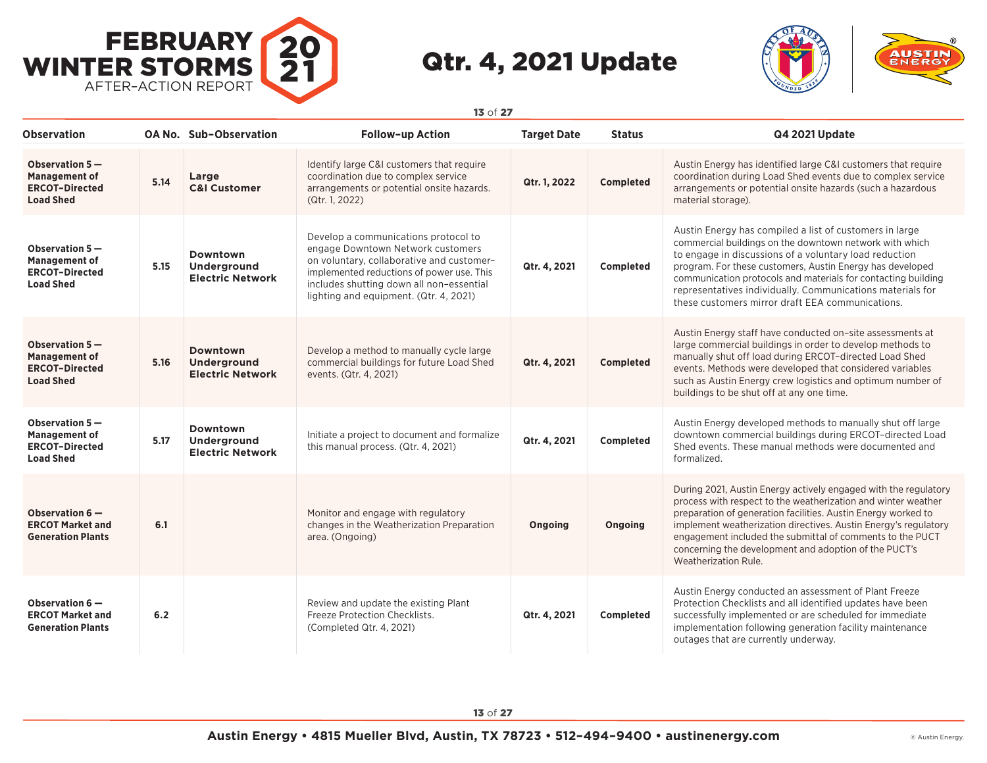



| <b>Observation</b>                                                                    |      | OA No. Sub-Observation                                    | <b>Follow-up Action</b>                                                                                                                                                                                                                                   | <b>Target Date</b> | <b>Status</b>    | Q4 2021 Update                                                                                                                                                                                                                                                                                                                                                                                                               |
|---------------------------------------------------------------------------------------|------|-----------------------------------------------------------|-----------------------------------------------------------------------------------------------------------------------------------------------------------------------------------------------------------------------------------------------------------|--------------------|------------------|------------------------------------------------------------------------------------------------------------------------------------------------------------------------------------------------------------------------------------------------------------------------------------------------------------------------------------------------------------------------------------------------------------------------------|
| Observation 5-<br><b>Management of</b><br><b>ERCOT-Directed</b><br><b>Load Shed</b>   | 5.14 | Large<br><b>C&amp;I Customer</b>                          | Identify large C&I customers that require<br>coordination due to complex service<br>arrangements or potential onsite hazards.<br>(Qtr. 1, 2022)                                                                                                           | Qtr. 1, 2022       | Completed        | Austin Energy has identified large C&I customers that require<br>coordination during Load Shed events due to complex service<br>arrangements or potential onsite hazards (such a hazardous<br>material storage).                                                                                                                                                                                                             |
| Observation 5-<br><b>Management of</b><br><b>ERCOT-Directed</b><br><b>Load Shed</b>   | 5.15 | Downtown<br>Underground<br><b>Electric Network</b>        | Develop a communications protocol to<br>engage Downtown Network customers<br>on voluntary, collaborative and customer-<br>implemented reductions of power use. This<br>includes shutting down all non-essential<br>lighting and equipment. (Qtr. 4, 2021) | Qtr. 4, 2021       | <b>Completed</b> | Austin Energy has compiled a list of customers in large<br>commercial buildings on the downtown network with which<br>to engage in discussions of a voluntary load reduction<br>program. For these customers, Austin Energy has developed<br>communication protocols and materials for contacting building<br>representatives individually. Communications materials for<br>these customers mirror draft EEA communications. |
| Observation $5-$<br><b>Management of</b><br><b>ERCOT-Directed</b><br><b>Load Shed</b> | 5.16 | Downtown<br><b>Underground</b><br><b>Electric Network</b> | Develop a method to manually cycle large<br>commercial buildings for future Load Shed<br>events. (Qtr. 4, 2021)                                                                                                                                           | Qtr. 4, 2021       | Completed        | Austin Energy staff have conducted on-site assessments at<br>large commercial buildings in order to develop methods to<br>manually shut off load during ERCOT-directed Load Shed<br>events. Methods were developed that considered variables<br>such as Austin Energy crew logistics and optimum number of<br>buildings to be shut off at any one time.                                                                      |
| Observation $5-$<br><b>Management of</b><br><b>ERCOT-Directed</b><br><b>Load Shed</b> | 5.17 | Downtown<br><b>Underground</b><br><b>Electric Network</b> | Initiate a project to document and formalize<br>this manual process. (Qtr. 4, 2021)                                                                                                                                                                       | Qtr. 4, 2021       | Completed        | Austin Energy developed methods to manually shut off large<br>downtown commercial buildings during ERCOT-directed Load<br>Shed events. These manual methods were documented and<br>formalized.                                                                                                                                                                                                                               |
| Observation 6-<br><b>ERCOT Market and</b><br><b>Generation Plants</b>                 | 6.1  |                                                           | Monitor and engage with regulatory<br>changes in the Weatherization Preparation<br>area. (Ongoing)                                                                                                                                                        | Ongoing            | Ongoing          | During 2021, Austin Energy actively engaged with the regulatory<br>process with respect to the weatherization and winter weather<br>preparation of generation facilities. Austin Energy worked to<br>implement weatherization directives. Austin Energy's regulatory<br>engagement included the submittal of comments to the PUCT<br>concerning the development and adoption of the PUCT's<br>Weatherization Rule.           |
| Observation 6-<br><b>ERCOT Market and</b><br><b>Generation Plants</b>                 | 6.2  |                                                           | Review and update the existing Plant<br>Freeze Protection Checklists.<br>(Completed Qtr. 4, 2021)                                                                                                                                                         | Qtr. 4, 2021       | Completed        | Austin Energy conducted an assessment of Plant Freeze<br>Protection Checklists and all identified updates have been<br>successfully implemented or are scheduled for immediate<br>implementation following generation facility maintenance<br>outages that are currently underway.                                                                                                                                           |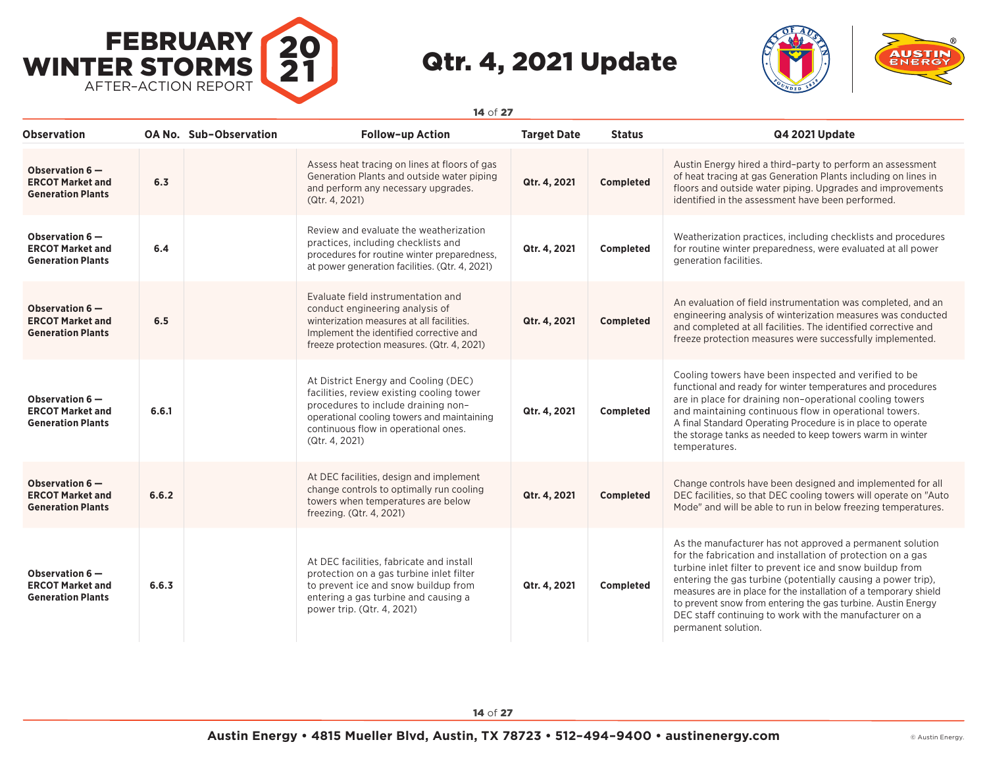



| <b>Observation</b>                                                      |       | <b>OA No. Sub-Observation</b> | <b>Follow-up Action</b>                                                                                                                                                                                                          | <b>Target Date</b> | <b>Status</b>    | Q4 2021 Update                                                                                                                                                                                                                                                                                                                                                                                                                                                              |
|-------------------------------------------------------------------------|-------|-------------------------------|----------------------------------------------------------------------------------------------------------------------------------------------------------------------------------------------------------------------------------|--------------------|------------------|-----------------------------------------------------------------------------------------------------------------------------------------------------------------------------------------------------------------------------------------------------------------------------------------------------------------------------------------------------------------------------------------------------------------------------------------------------------------------------|
| Observation 6-<br><b>ERCOT Market and</b><br><b>Generation Plants</b>   | 6,3   |                               | Assess heat tracing on lines at floors of gas<br>Generation Plants and outside water piping<br>and perform any necessary upgrades.<br>(Qtr. 4, 2021)                                                                             | Qtr. 4, 2021       | <b>Completed</b> | Austin Energy hired a third-party to perform an assessment<br>of heat tracing at gas Generation Plants including on lines in<br>floors and outside water piping. Upgrades and improvements<br>identified in the assessment have been performed.                                                                                                                                                                                                                             |
| Observation 6-<br><b>ERCOT Market and</b><br><b>Generation Plants</b>   | 6.4   |                               | Review and evaluate the weatherization<br>practices, including checklists and<br>procedures for routine winter preparedness,<br>at power generation facilities. (Qtr. 4, 2021)                                                   | Qtr. 4, 2021       | Completed        | Weatherization practices, including checklists and procedures<br>for routine winter preparedness, were evaluated at all power<br>generation facilities.                                                                                                                                                                                                                                                                                                                     |
| Observation 6-<br><b>ERCOT Market and</b><br><b>Generation Plants</b>   | 6.5   |                               | Evaluate field instrumentation and<br>conduct engineering analysis of<br>winterization measures at all facilities.<br>Implement the identified corrective and<br>freeze protection measures. (Qtr. 4, 2021)                      | Qtr. 4, 2021       | <b>Completed</b> | An evaluation of field instrumentation was completed, and an<br>engineering analysis of winterization measures was conducted<br>and completed at all facilities. The identified corrective and<br>freeze protection measures were successfully implemented.                                                                                                                                                                                                                 |
| Observation 6-<br><b>ERCOT Market and</b><br><b>Generation Plants</b>   | 6.6.1 |                               | At District Energy and Cooling (DEC)<br>facilities, review existing cooling tower<br>procedures to include draining non-<br>operational cooling towers and maintaining<br>continuous flow in operational ones.<br>(Qtr. 4, 2021) | Qtr. 4, 2021       | Completed        | Cooling towers have been inspected and verified to be<br>functional and ready for winter temperatures and procedures<br>are in place for draining non-operational cooling towers<br>and maintaining continuous flow in operational towers.<br>A final Standard Operating Procedure is in place to operate<br>the storage tanks as needed to keep towers warm in winter<br>temperatures.                                                                                     |
| Observation 6-<br><b>ERCOT Market and</b><br><b>Generation Plants</b>   | 6.6.2 |                               | At DEC facilities, design and implement<br>change controls to optimally run cooling<br>towers when temperatures are below<br>freezing. (Qtr. 4, 2021)                                                                            | Qtr. 4, 2021       | Completed        | Change controls have been designed and implemented for all<br>DEC facilities, so that DEC cooling towers will operate on "Auto"<br>Mode" and will be able to run in below freezing temperatures.                                                                                                                                                                                                                                                                            |
| Observation $6-$<br><b>ERCOT Market and</b><br><b>Generation Plants</b> | 6.6.3 |                               | At DEC facilities, fabricate and install<br>protection on a gas turbine inlet filter<br>to prevent ice and snow buildup from<br>entering a gas turbine and causing a<br>power trip. (Qtr. 4, 2021)                               | Qtr. 4, 2021       | Completed        | As the manufacturer has not approved a permanent solution<br>for the fabrication and installation of protection on a gas<br>turbine inlet filter to prevent ice and snow buildup from<br>entering the gas turbine (potentially causing a power trip).<br>measures are in place for the installation of a temporary shield<br>to prevent snow from entering the gas turbine. Austin Energy<br>DEC staff continuing to work with the manufacturer on a<br>permanent solution. |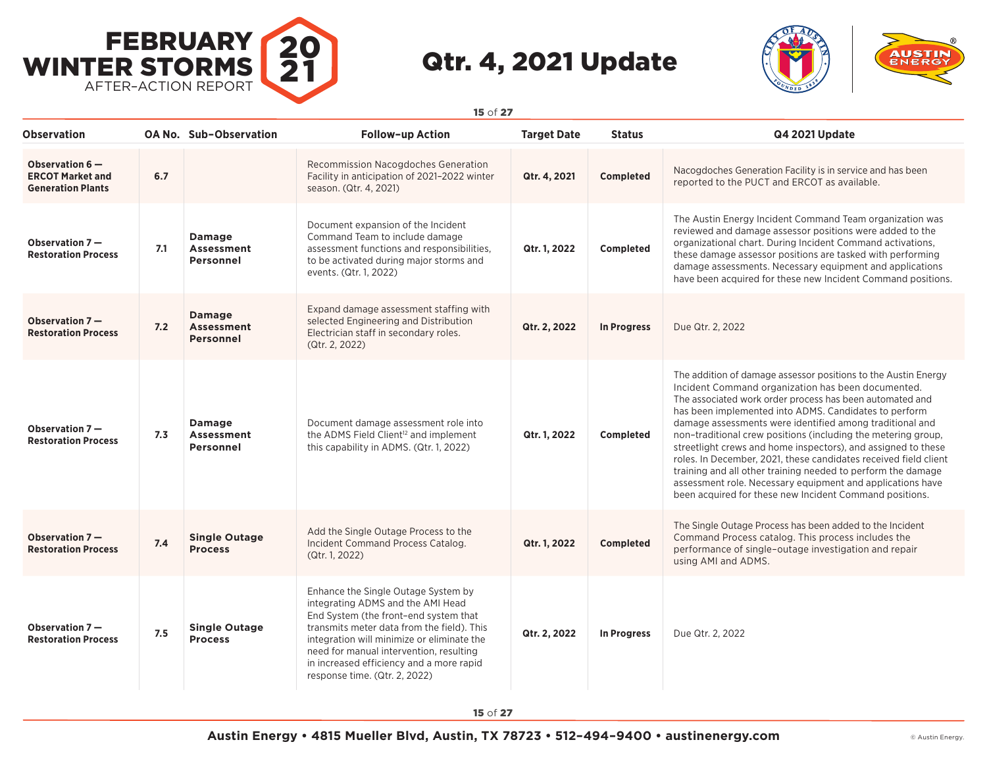



**Observation OA No. Sub–Observation Follow–up Action Target Date Status Q4 2021 Update Observation 6 — ERCOT Market and Generation Plants 6.7** Recommission Nacogdoches Generation Facility in anticipation of 2021–2022 winter season. (Qtr. 4, 2021) **Qtr. 4, 2021 Completed** Nacogdoches Generation Facility is in service and has been reported to the PUCT and ERCOT as available. **Observation 7 — Restoration Process 7.1 Damage Assessment Personnel** Document expansion of the Incident Command Team to include damage assessment functions and responsibilities, to be activated during major storms and events. (Qtr. 1, 2022) **Qtr. 1, 2022 Completed** The Austin Energy Incident Command Team organization was reviewed and damage assessor positions were added to the organizational chart. During Incident Command activations, these damage assessor positions are tasked with performing damage assessments. Necessary equipment and applications have been acquired for these new Incident Command positions. **Observation 7 — Restoration Process 7.2 Damage Assessment Personnel** Expand damage assessment staffing with selected Engineering and Distribution Electrician staff in secondary roles. (Qtr. 2, 2022) **Qtr. 2, 2022 In Progress** Due Qtr. 2, 2022 **Observation 7 — Restoration Process 7.3 Damage Assessment Personnel** Document damage assessment role into the ADMS Field Client<sup>12</sup> and implement this capability in ADMS. (Qtr. 1, 2022) **Qtr. 1, 2022 Completed** The addition of damage assessor positions to the Austin Energy Incident Command organization has been documented. The associated work order process has been automated and has been implemented into ADMS. Candidates to perform damage assessments were identified among traditional and non–traditional crew positions (including the metering group, streetlight crews and home inspectors), and assigned to these roles. In December, 2021, these candidates received field client training and all other training needed to perform the damage assessment role. Necessary equipment and applications have been acquired for these new Incident Command positions. **Observation 7 — Restoration Process 7.4 Single Outage Process** Add the Single Outage Process to the Incident Command Process Catalog. (Qtr. 1, 2022) **Qtr. 1, 2022 Completed** The Single Outage Process has been added to the Incident Command Process catalog. This process includes the performance of single–outage investigation and repair using AMI and ADMS. **Observation 7 — Restoration Process 7.5 Single Outage Process** Enhance the Single Outage System by integrating ADMS and the AMI Head End System (the front–end system that transmits meter data from the field). This integration will minimize or eliminate the need for manual intervention, resulting in increased efficiency and a more rapid response time. (Qtr. 2, 2022) **Qtr. 2, 2022 In Progress** Due Qtr. 2, 2022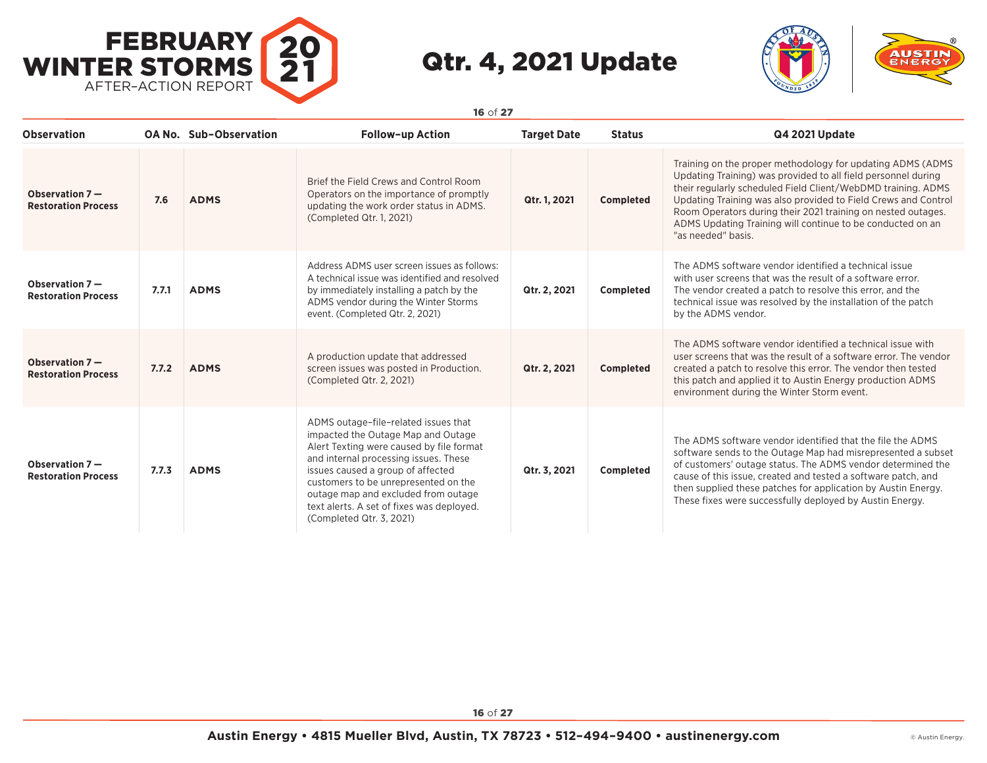



**Observation OA No. Sub–Observation Follow–up Action Target Date Status Q4 2021 Update Observation 7 — Restoration Process 7.6 ADMS** Brief the Field Crews and Control Room Operators on the importance of promptly updating the work order status in ADMS. (Completed Qtr. 1, 2021) **Qtr. 1, 2021 Completed** Training on the proper methodology for updating ADMS (ADMS Updating Training) was provided to all field personnel during their regularly scheduled Field Client/WebDMD training. ADMS Updating Training was also provided to Field Crews and Control Room Operators during their 2021 training on nested outages. ADMS Updating Training will continue to be conducted on an "as needed" basis. **Observation 7 — Restoration Process 7.7.1 ADMS** Address ADMS user screen issues as follows: A technical issue was identified and resolved by immediately installing a patch by the ADMS vendor during the Winter Storms event. (Completed Qtr. 2, 2021) **Qtr. 2, 2021 Completed** The ADMS software vendor identified a technical issue with user screens that was the result of a software error. The vendor created a patch to resolve this error, and the technical issue was resolved by the installation of the patch by the ADMS vendor. **Observation 7 — Restoration Process 7.7.2 ADMS** A production update that addressed screen issues was posted in Production. (Completed Qtr. 2, 2021) **Qtr. 2, 2021 Completed** The ADMS software vendor identified a technical issue with user screens that was the result of a software error. The vendor created a patch to resolve this error. The vendor then tested this patch and applied it to Austin Energy production ADMS environment during the Winter Storm event. **Observation 7 — Restoration Process 7.7.3 ADMS** ADMS outage–file–related issues that impacted the Outage Map and Outage Alert Texting were caused by file format and internal processing issues. These issues caused a group of affected customers to be unrepresented on the outage map and excluded from outage text alerts. A set of fixes was deployed. (Completed Qtr. 3, 2021) **Qtr. 3, 2021 Completed** The ADMS software vendor identified that the file the ADMS software sends to the Outage Map had misrepresented a subset of customers' outage status. The ADMS vendor determined the cause of this issue, created and tested a software patch, and then supplied these patches for application by Austin Energy. These fixes were successfully deployed by Austin Energy.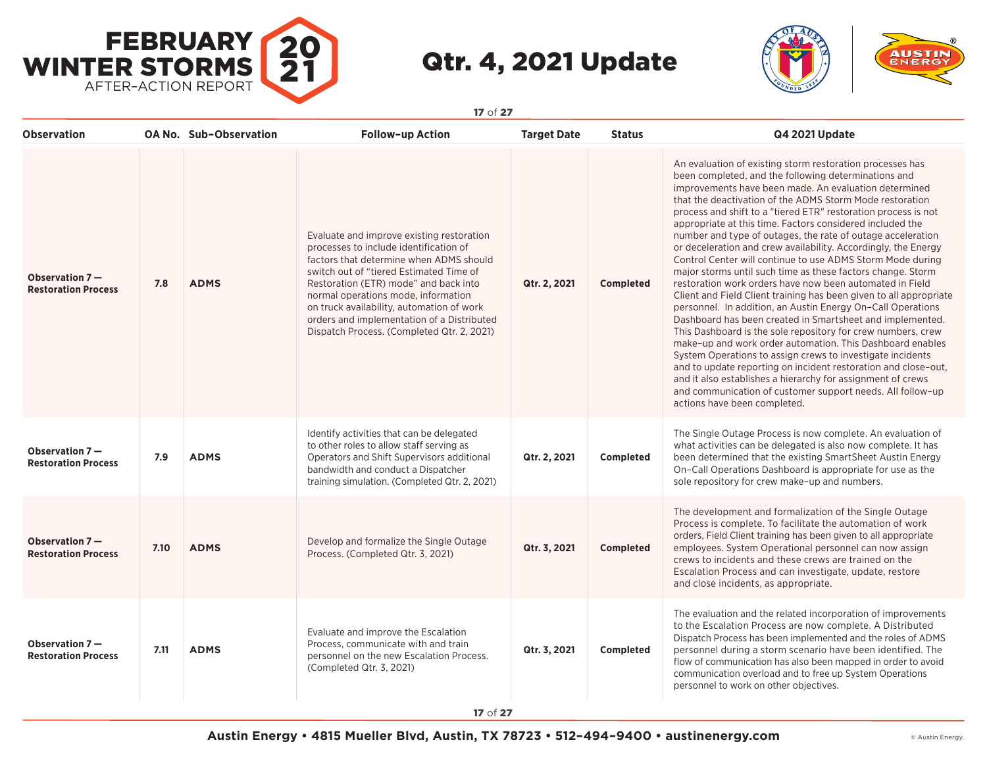



| <b>Observation</b>                             |      | <b>OA No. Sub-Observation</b> | <b>Follow-up Action</b>                                                                                                                                                                                                                                                                                                                                                                            | <b>Target Date</b> | <b>Status</b>    | Q4 2021 Update                                                                                                                                                                                                                                                                                                                                                                                                                                                                                                                                                                                                                                                                                                                                                                                                                                                                                                                                                                                                                                                                                                                                                                                                                                                                                                              |
|------------------------------------------------|------|-------------------------------|----------------------------------------------------------------------------------------------------------------------------------------------------------------------------------------------------------------------------------------------------------------------------------------------------------------------------------------------------------------------------------------------------|--------------------|------------------|-----------------------------------------------------------------------------------------------------------------------------------------------------------------------------------------------------------------------------------------------------------------------------------------------------------------------------------------------------------------------------------------------------------------------------------------------------------------------------------------------------------------------------------------------------------------------------------------------------------------------------------------------------------------------------------------------------------------------------------------------------------------------------------------------------------------------------------------------------------------------------------------------------------------------------------------------------------------------------------------------------------------------------------------------------------------------------------------------------------------------------------------------------------------------------------------------------------------------------------------------------------------------------------------------------------------------------|
| Observation $7-$<br><b>Restoration Process</b> | 7.8  | <b>ADMS</b>                   | Evaluate and improve existing restoration<br>processes to include identification of<br>factors that determine when ADMS should<br>switch out of "tiered Estimated Time of<br>Restoration (ETR) mode" and back into<br>normal operations mode, information<br>on truck availability, automation of work<br>orders and implementation of a Distributed<br>Dispatch Process. (Completed Qtr. 2, 2021) | Qtr. 2, 2021       | <b>Completed</b> | An evaluation of existing storm restoration processes has<br>been completed, and the following determinations and<br>improvements have been made. An evaluation determined<br>that the deactivation of the ADMS Storm Mode restoration<br>process and shift to a "tiered ETR" restoration process is not<br>appropriate at this time. Factors considered included the<br>number and type of outages, the rate of outage acceleration<br>or deceleration and crew availability. Accordingly, the Energy<br>Control Center will continue to use ADMS Storm Mode during<br>major storms until such time as these factors change. Storm<br>restoration work orders have now been automated in Field<br>Client and Field Client training has been given to all appropriate<br>personnel. In addition, an Austin Energy On-Call Operations<br>Dashboard has been created in Smartsheet and implemented.<br>This Dashboard is the sole repository for crew numbers, crew<br>make-up and work order automation. This Dashboard enables<br>System Operations to assign crews to investigate incidents<br>and to update reporting on incident restoration and close-out,<br>and it also establishes a hierarchy for assignment of crews<br>and communication of customer support needs. All follow-up<br>actions have been completed. |
| Observation 7-<br><b>Restoration Process</b>   | 7.9  | <b>ADMS</b>                   | Identify activities that can be delegated<br>to other roles to allow staff serving as<br>Operators and Shift Supervisors additional<br>bandwidth and conduct a Dispatcher<br>training simulation. (Completed Qtr. 2, 2021)                                                                                                                                                                         | Qtr. 2, 2021       | Completed        | The Single Outage Process is now complete. An evaluation of<br>what activities can be delegated is also now complete. It has<br>been determined that the existing SmartSheet Austin Energy<br>On-Call Operations Dashboard is appropriate for use as the<br>sole repository for crew make-up and numbers.                                                                                                                                                                                                                                                                                                                                                                                                                                                                                                                                                                                                                                                                                                                                                                                                                                                                                                                                                                                                                   |
| Observation $7-$<br><b>Restoration Process</b> | 7.10 | <b>ADMS</b>                   | Develop and formalize the Single Outage<br>Process. (Completed Qtr. 3, 2021)                                                                                                                                                                                                                                                                                                                       | Qtr. 3, 2021       | Completed        | The development and formalization of the Single Outage<br>Process is complete. To facilitate the automation of work<br>orders, Field Client training has been given to all appropriate<br>employees. System Operational personnel can now assign<br>crews to incidents and these crews are trained on the<br>Escalation Process and can investigate, update, restore<br>and close incidents, as appropriate.                                                                                                                                                                                                                                                                                                                                                                                                                                                                                                                                                                                                                                                                                                                                                                                                                                                                                                                |
| Observation 7-<br><b>Restoration Process</b>   | 7.11 | <b>ADMS</b>                   | Evaluate and improve the Escalation<br>Process, communicate with and train<br>personnel on the new Escalation Process.<br>(Completed Qtr. 3, 2021)                                                                                                                                                                                                                                                 | Qtr. 3, 2021       | Completed        | The evaluation and the related incorporation of improvements<br>to the Escalation Process are now complete. A Distributed<br>Dispatch Process has been implemented and the roles of ADMS<br>personnel during a storm scenario have been identified. The<br>flow of communication has also been mapped in order to avoid<br>communication overload and to free up System Operations<br>personnel to work on other objectives.                                                                                                                                                                                                                                                                                                                                                                                                                                                                                                                                                                                                                                                                                                                                                                                                                                                                                                |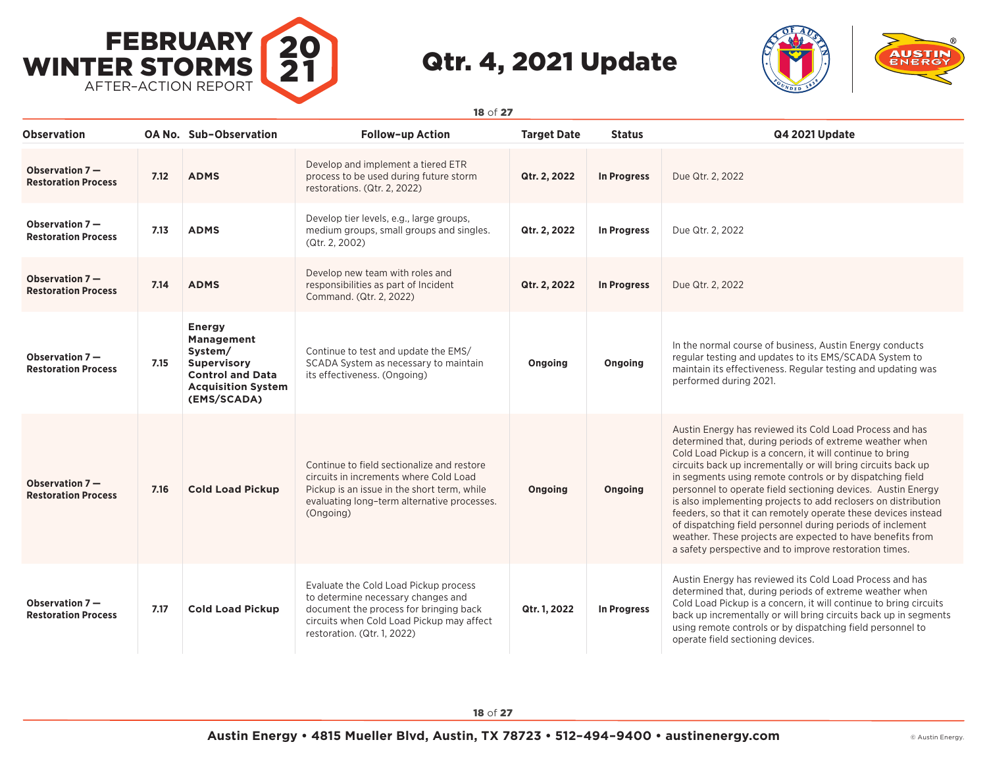



**Observation OA No. Sub–Observation Follow–up Action Target Date Status Q4 2021 Update Observation 7 — Restoration Process 7.12 ADMS** Develop and implement a tiered ETR process to be used during future storm restorations. (Qtr. 2, 2022) **Qtr. 2, 2022 In Progress** Due Qtr. 2, 2022 **Observation 7 — Restoration Process 7.13 ADMS** Develop tier levels, e.g., large groups, medium groups, small groups and singles. (Qtr. 2, 2002) **Qtr. 2, 2022 In Progress** Due Qtr. 2, 2022 **Observation 7 — Restoration Process 7.14 ADMS** Develop new team with roles and responsibilities as part of Incident Command. (Qtr. 2, 2022) **Qtr. 2, 2022 In Progress** Due Qtr. 2, 2022 **Observation 7 — Restoration Process 7.15 Energy Management System/ Supervisory Control and Data Acquisition System (EMS/SCADA)** Continue to test and update the EMS/ SCADA System as necessary to maintain its effectiveness. (Ongoing) **Ongoing Ongoing** In the normal course of business, Austin Energy conducts regular testing and updates to its EMS/SCADA System to maintain its effectiveness. Regular testing and updating was performed during 2021. **Observation 7 — Restoration Process 7.16 Cold Load Pickup** Continue to field sectionalize and restore circuits in increments where Cold Load Pickup is an issue in the short term, while evaluating long–term alternative processes. (Ongoing) **Ongoing Ongoing** Austin Energy has reviewed its Cold Load Process and has determined that, during periods of extreme weather when Cold Load Pickup is a concern, it will continue to bring circuits back up incrementally or will bring circuits back up in segments using remote controls or by dispatching field personnel to operate field sectioning devices. Austin Energy is also implementing projects to add reclosers on distribution feeders, so that it can remotely operate these devices instead of dispatching field personnel during periods of inclement weather. These projects are expected to have benefits from a safety perspective and to improve restoration times. **Observation 7 — Restoration Process 7.17 Cold Load Pickup** Evaluate the Cold Load Pickup process to determine necessary changes and document the process for bringing back circuits when Cold Load Pickup may affect restoration. (Qtr. 1, 2022) **Qtr. 1, 2022 In Progress** Austin Energy has reviewed its Cold Load Process and has determined that, during periods of extreme weather when Cold Load Pickup is a concern, it will continue to bring circuits back up incrementally or will bring circuits back up in segments using remote controls or by dispatching field personnel to operate field sectioning devices.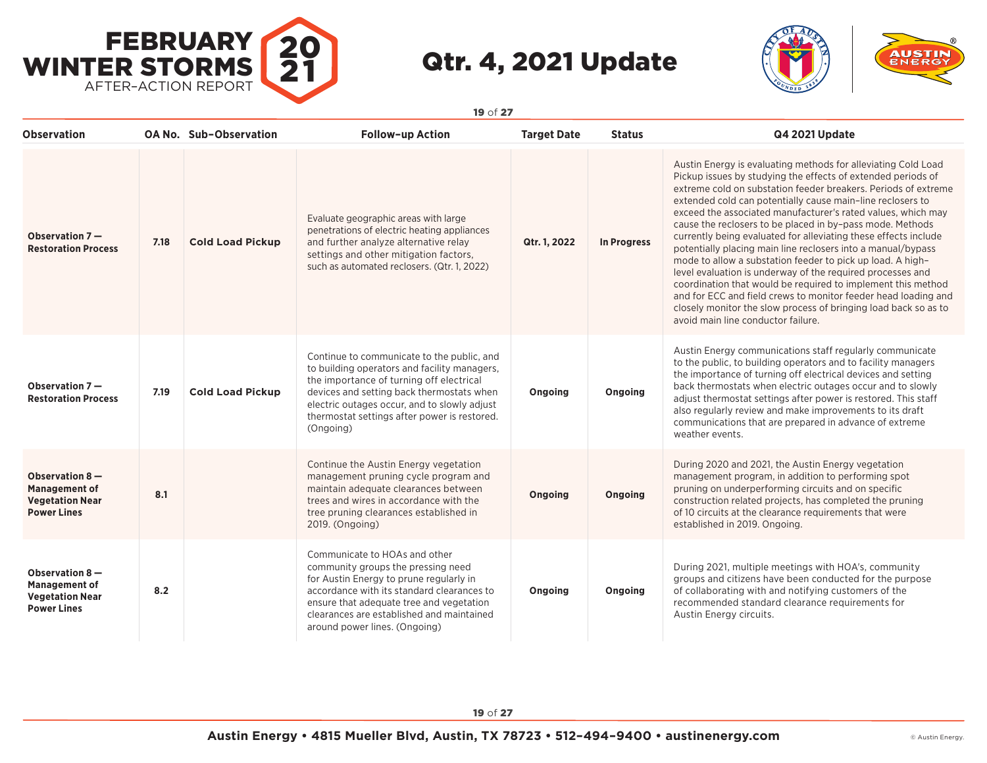



| <b>Observation</b>                                                                     |      | OA No. Sub-Observation  | Follow-up Action                                                                                                                                                                                                                                                                                 | <b>Target Date</b> | <b>Status</b> | Q4 2021 Update                                                                                                                                                                                                                                                                                                                                                                                                                                                                                                                                                                                                                                                                                                                                                                                                                                                                                       |
|----------------------------------------------------------------------------------------|------|-------------------------|--------------------------------------------------------------------------------------------------------------------------------------------------------------------------------------------------------------------------------------------------------------------------------------------------|--------------------|---------------|------------------------------------------------------------------------------------------------------------------------------------------------------------------------------------------------------------------------------------------------------------------------------------------------------------------------------------------------------------------------------------------------------------------------------------------------------------------------------------------------------------------------------------------------------------------------------------------------------------------------------------------------------------------------------------------------------------------------------------------------------------------------------------------------------------------------------------------------------------------------------------------------------|
| Observation 7-<br><b>Restoration Process</b>                                           | 7.18 | <b>Cold Load Pickup</b> | Evaluate geographic areas with large<br>penetrations of electric heating appliances<br>and further analyze alternative relay<br>settings and other mitigation factors,<br>such as automated reclosers. (Qtr. 1, 2022)                                                                            | Qtr. 1, 2022       | In Progress   | Austin Energy is evaluating methods for alleviating Cold Load<br>Pickup issues by studying the effects of extended periods of<br>extreme cold on substation feeder breakers. Periods of extreme<br>extended cold can potentially cause main-line reclosers to<br>exceed the associated manufacturer's rated values, which may<br>cause the reclosers to be placed in by-pass mode. Methods<br>currently being evaluated for alleviating these effects include<br>potentially placing main line reclosers into a manual/bypass<br>mode to allow a substation feeder to pick up load. A high-<br>level evaluation is underway of the required processes and<br>coordination that would be required to implement this method<br>and for ECC and field crews to monitor feeder head loading and<br>closely monitor the slow process of bringing load back so as to<br>avoid main line conductor failure. |
| Observation $7-$<br><b>Restoration Process</b>                                         | 7.19 | <b>Cold Load Pickup</b> | Continue to communicate to the public, and<br>to building operators and facility managers,<br>the importance of turning off electrical<br>devices and setting back thermostats when<br>electric outages occur, and to slowly adjust<br>thermostat settings after power is restored.<br>(Ongoing) | Ongoing            | Ongoing       | Austin Energy communications staff regularly communicate<br>to the public, to building operators and to facility managers<br>the importance of turning off electrical devices and setting<br>back thermostats when electric outages occur and to slowly<br>adjust thermostat settings after power is restored. This staff<br>also regularly review and make improvements to its draft<br>communications that are prepared in advance of extreme<br>weather events.                                                                                                                                                                                                                                                                                                                                                                                                                                   |
| Observation 8-<br><b>Management of</b><br><b>Vegetation Near</b><br><b>Power Lines</b> | 8.1  |                         | Continue the Austin Energy vegetation<br>management pruning cycle program and<br>maintain adequate clearances between<br>trees and wires in accordance with the<br>tree pruning clearances established in<br>2019. (Ongoing)                                                                     | Ongoing            | Ongoing       | During 2020 and 2021, the Austin Energy vegetation<br>management program, in addition to performing spot<br>pruning on underperforming circuits and on specific<br>construction related projects, has completed the pruning<br>of 10 circuits at the clearance requirements that were<br>established in 2019. Ongoing.                                                                                                                                                                                                                                                                                                                                                                                                                                                                                                                                                                               |
| Observation 8-<br><b>Management of</b><br><b>Vegetation Near</b><br><b>Power Lines</b> | 8.2  |                         | Communicate to HOAs and other<br>community groups the pressing need<br>for Austin Energy to prune regularly in<br>accordance with its standard clearances to<br>ensure that adequate tree and vegetation<br>clearances are established and maintained<br>around power lines. (Ongoing)           | Ongoing            | Ongoing       | During 2021, multiple meetings with HOA's, community<br>groups and citizens have been conducted for the purpose<br>of collaborating with and notifying customers of the<br>recommended standard clearance requirements for<br>Austin Energy circuits.                                                                                                                                                                                                                                                                                                                                                                                                                                                                                                                                                                                                                                                |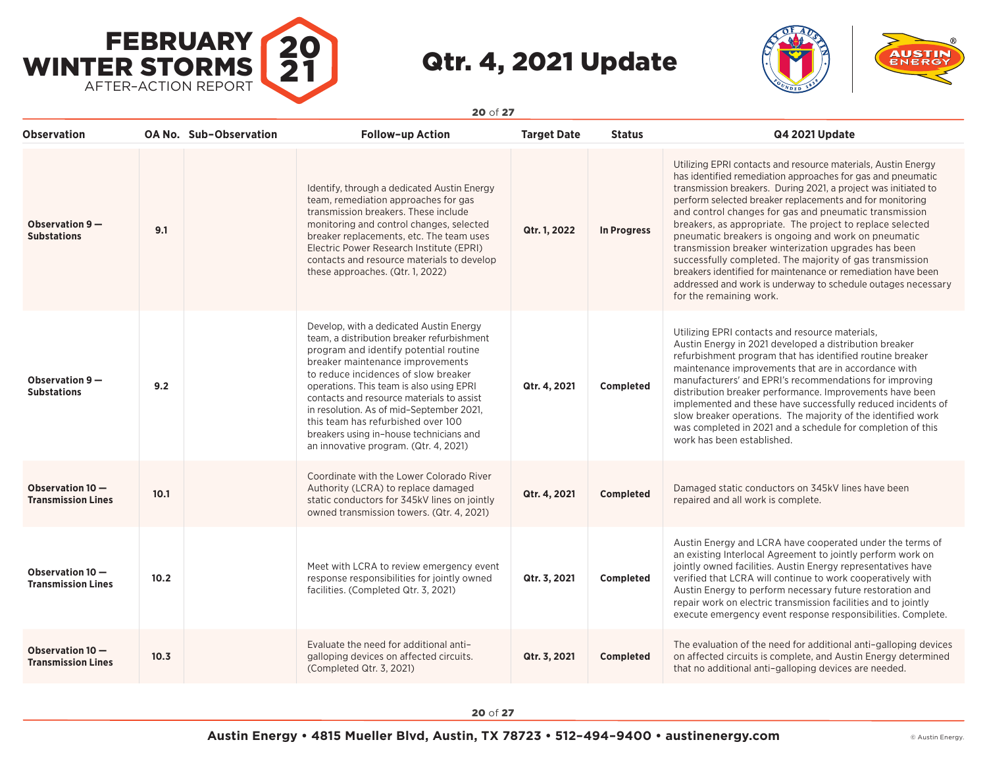



| <b>Observation</b>                            |      | <b>OA No. Sub-Observation</b> | <b>Follow-up Action</b>                                                                                                                                                                                                                                                                                                                                                                                                                                                    | <b>Target Date</b> | <b>Status</b>    | Q4 2021 Update                                                                                                                                                                                                                                                                                                                                                                                                                                                                                                                                                                                                                                                                                                          |
|-----------------------------------------------|------|-------------------------------|----------------------------------------------------------------------------------------------------------------------------------------------------------------------------------------------------------------------------------------------------------------------------------------------------------------------------------------------------------------------------------------------------------------------------------------------------------------------------|--------------------|------------------|-------------------------------------------------------------------------------------------------------------------------------------------------------------------------------------------------------------------------------------------------------------------------------------------------------------------------------------------------------------------------------------------------------------------------------------------------------------------------------------------------------------------------------------------------------------------------------------------------------------------------------------------------------------------------------------------------------------------------|
| Observation 9-<br><b>Substations</b>          | 9.1  |                               | Identify, through a dedicated Austin Energy<br>team, remediation approaches for gas<br>transmission breakers. These include<br>monitoring and control changes, selected<br>breaker replacements, etc. The team uses<br>Electric Power Research Institute (EPRI)<br>contacts and resource materials to develop<br>these approaches. (Qtr. 1, 2022)                                                                                                                          | Qtr. 1, 2022       | In Progress      | Utilizing EPRI contacts and resource materials, Austin Energy<br>has identified remediation approaches for gas and pneumatic<br>transmission breakers. During 2021, a project was initiated to<br>perform selected breaker replacements and for monitoring<br>and control changes for gas and pneumatic transmission<br>breakers, as appropriate. The project to replace selected<br>pneumatic breakers is ongoing and work on pneumatic<br>transmission breaker winterization upgrades has been<br>successfully completed. The majority of gas transmission<br>breakers identified for maintenance or remediation have been<br>addressed and work is underway to schedule outages necessary<br>for the remaining work. |
| Observation 9-<br><b>Substations</b>          | 9.2  |                               | Develop, with a dedicated Austin Energy<br>team, a distribution breaker refurbishment<br>program and identify potential routine<br>breaker maintenance improvements<br>to reduce incidences of slow breaker<br>operations. This team is also using EPRI<br>contacts and resource materials to assist<br>in resolution. As of mid-September 2021,<br>this team has refurbished over 100<br>breakers using in-house technicians and<br>an innovative program. (Qtr. 4, 2021) | Qtr. 4, 2021       | Completed        | Utilizing EPRI contacts and resource materials,<br>Austin Energy in 2021 developed a distribution breaker<br>refurbishment program that has identified routine breaker<br>maintenance improvements that are in accordance with<br>manufacturers' and EPRI's recommendations for improving<br>distribution breaker performance. Improvements have been<br>implemented and these have successfully reduced incidents of<br>slow breaker operations. The majority of the identified work<br>was completed in 2021 and a schedule for completion of this<br>work has been established.                                                                                                                                      |
| Observation 10-<br><b>Transmission Lines</b>  | 10.1 |                               | Coordinate with the Lower Colorado River<br>Authority (LCRA) to replace damaged<br>static conductors for 345kV lines on jointly<br>owned transmission towers. (Qtr. 4, 2021)                                                                                                                                                                                                                                                                                               | Qtr. 4, 2021       | <b>Completed</b> | Damaged static conductors on 345kV lines have been<br>repaired and all work is complete.                                                                                                                                                                                                                                                                                                                                                                                                                                                                                                                                                                                                                                |
| Observation 10-<br><b>Transmission Lines</b>  | 10.2 |                               | Meet with LCRA to review emergency event<br>response responsibilities for jointly owned<br>facilities. (Completed Qtr. 3, 2021)                                                                                                                                                                                                                                                                                                                                            | Qtr. 3, 2021       | Completed        | Austin Energy and LCRA have cooperated under the terms of<br>an existing Interlocal Agreement to jointly perform work on<br>jointly owned facilities. Austin Energy representatives have<br>verified that LCRA will continue to work cooperatively with<br>Austin Energy to perform necessary future restoration and<br>repair work on electric transmission facilities and to jointly<br>execute emergency event response responsibilities. Complete.                                                                                                                                                                                                                                                                  |
| Observation 10 -<br><b>Transmission Lines</b> | 10.3 |                               | Evaluate the need for additional anti-<br>galloping devices on affected circuits.<br>(Completed Qtr. 3, 2021)                                                                                                                                                                                                                                                                                                                                                              | Qtr. 3, 2021       | Completed        | The evaluation of the need for additional anti-galloping devices<br>on affected circuits is complete, and Austin Energy determined<br>that no additional anti-galloping devices are needed.                                                                                                                                                                                                                                                                                                                                                                                                                                                                                                                             |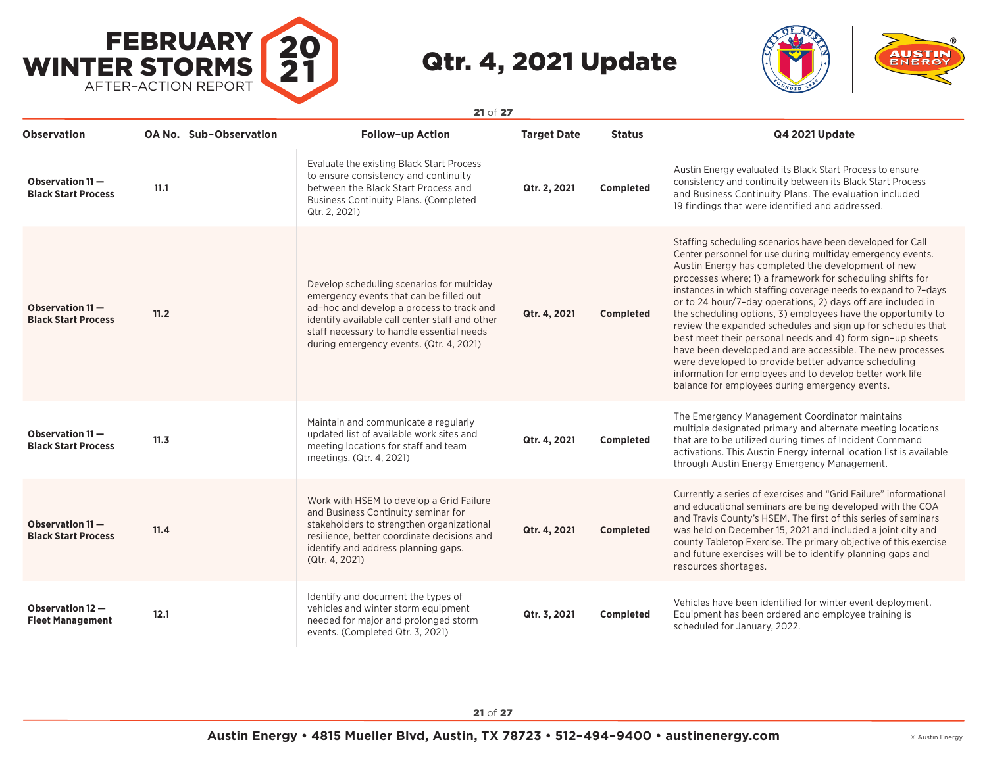



| <b>Observation</b>                               |      | <b>OA No. Sub-Observation</b> | <b>Follow-up Action</b>                                                                                                                                                                                                                                                     | <b>Target Date</b> | <b>Status</b> | Q4 2021 Update                                                                                                                                                                                                                                                                                                                                                                                                                                                                                                                                                                                                                                                                                                                                                                                               |
|--------------------------------------------------|------|-------------------------------|-----------------------------------------------------------------------------------------------------------------------------------------------------------------------------------------------------------------------------------------------------------------------------|--------------------|---------------|--------------------------------------------------------------------------------------------------------------------------------------------------------------------------------------------------------------------------------------------------------------------------------------------------------------------------------------------------------------------------------------------------------------------------------------------------------------------------------------------------------------------------------------------------------------------------------------------------------------------------------------------------------------------------------------------------------------------------------------------------------------------------------------------------------------|
| Observation $11 -$<br><b>Black Start Process</b> | 11.1 |                               | Evaluate the existing Black Start Process<br>to ensure consistency and continuity<br>between the Black Start Process and<br><b>Business Continuity Plans. (Completed</b><br>Qtr. 2, 2021)                                                                                   | Qtr. 2, 2021       | Completed     | Austin Energy evaluated its Black Start Process to ensure<br>consistency and continuity between its Black Start Process<br>and Business Continuity Plans. The evaluation included<br>19 findings that were identified and addressed.                                                                                                                                                                                                                                                                                                                                                                                                                                                                                                                                                                         |
| Observation $11 -$<br><b>Black Start Process</b> | 11.2 |                               | Develop scheduling scenarios for multiday<br>emergency events that can be filled out<br>ad-hoc and develop a process to track and<br>identify available call center staff and other<br>staff necessary to handle essential needs<br>during emergency events. (Qtr. 4, 2021) | Qtr. 4, 2021       | Completed     | Staffing scheduling scenarios have been developed for Call<br>Center personnel for use during multiday emergency events.<br>Austin Energy has completed the development of new<br>processes where; 1) a framework for scheduling shifts for<br>instances in which staffing coverage needs to expand to 7-days<br>or to 24 hour/7-day operations, 2) days off are included in<br>the scheduling options, 3) employees have the opportunity to<br>review the expanded schedules and sign up for schedules that<br>best meet their personal needs and 4) form sign-up sheets<br>have been developed and are accessible. The new processes<br>were developed to provide better advance scheduling<br>information for employees and to develop better work life<br>balance for employees during emergency events. |
| Observation $11 -$<br><b>Black Start Process</b> | 11.3 |                               | Maintain and communicate a regularly<br>updated list of available work sites and<br>meeting locations for staff and team<br>meetings. (Qtr. 4, 2021)                                                                                                                        | Qtr. 4, 2021       | Completed     | The Emergency Management Coordinator maintains<br>multiple designated primary and alternate meeting locations<br>that are to be utilized during times of Incident Command<br>activations. This Austin Energy internal location list is available<br>through Austin Energy Emergency Management.                                                                                                                                                                                                                                                                                                                                                                                                                                                                                                              |
| Observation 11-<br><b>Black Start Process</b>    | 11.4 |                               | Work with HSEM to develop a Grid Failure<br>and Business Continuity seminar for<br>stakeholders to strengthen organizational<br>resilience, better coordinate decisions and<br>identify and address planning gaps.<br>(Qtr. 4, 2021)                                        | Qtr. 4, 2021       | Completed     | Currently a series of exercises and "Grid Failure" informational<br>and educational seminars are being developed with the COA<br>and Travis County's HSEM. The first of this series of seminars<br>was held on December 15, 2021 and included a joint city and<br>county Tabletop Exercise. The primary objective of this exercise<br>and future exercises will be to identify planning gaps and<br>resources shortages.                                                                                                                                                                                                                                                                                                                                                                                     |
| Observation 12 -<br><b>Fleet Management</b>      | 12.1 |                               | Identify and document the types of<br>vehicles and winter storm equipment<br>needed for major and prolonged storm<br>events. (Completed Qtr. 3, 2021)                                                                                                                       | Qtr. 3, 2021       | Completed     | Vehicles have been identified for winter event deployment.<br>Equipment has been ordered and employee training is<br>scheduled for January, 2022.                                                                                                                                                                                                                                                                                                                                                                                                                                                                                                                                                                                                                                                            |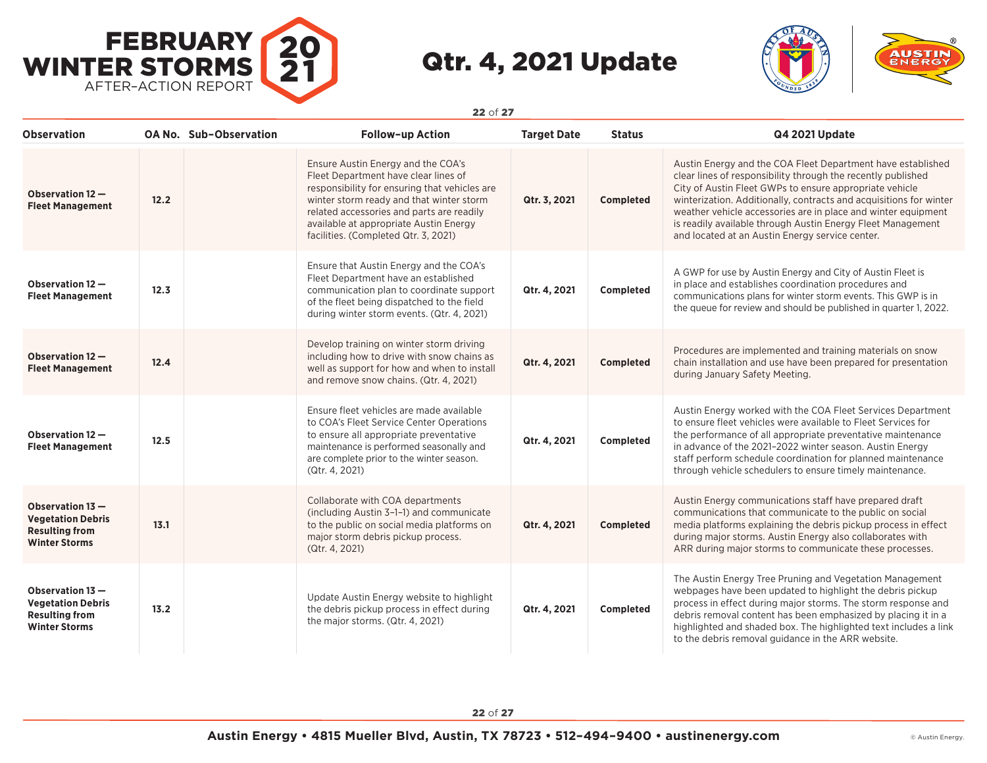



| <b>Observation</b>                                                                            |      | OA No. Sub-Observation | <b>Follow-up Action</b>                                                                                                                                                                                                                                                                                | <b>Target Date</b> | <b>Status</b>    | <b>Q4 2021 Update</b>                                                                                                                                                                                                                                                                                                                                                                                                                           |
|-----------------------------------------------------------------------------------------------|------|------------------------|--------------------------------------------------------------------------------------------------------------------------------------------------------------------------------------------------------------------------------------------------------------------------------------------------------|--------------------|------------------|-------------------------------------------------------------------------------------------------------------------------------------------------------------------------------------------------------------------------------------------------------------------------------------------------------------------------------------------------------------------------------------------------------------------------------------------------|
| Observation 12 -<br><b>Fleet Management</b>                                                   | 12.2 |                        | Ensure Austin Energy and the COA's<br>Fleet Department have clear lines of<br>responsibility for ensuring that vehicles are<br>winter storm ready and that winter storm<br>related accessories and parts are readily<br>available at appropriate Austin Energy<br>facilities. (Completed Qtr. 3, 2021) | Qtr. 3, 2021       | <b>Completed</b> | Austin Energy and the COA Fleet Department have established<br>clear lines of responsibility through the recently published<br>City of Austin Fleet GWPs to ensure appropriate vehicle<br>winterization. Additionally, contracts and acquisitions for winter<br>weather vehicle accessories are in place and winter equipment<br>is readily available through Austin Energy Fleet Management<br>and located at an Austin Energy service center. |
| Observation 12 -<br><b>Fleet Management</b>                                                   | 12.3 |                        | Ensure that Austin Energy and the COA's<br>Fleet Department have an established<br>communication plan to coordinate support<br>of the fleet being dispatched to the field<br>during winter storm events. (Qtr. 4, 2021)                                                                                | Qtr. 4, 2021       | Completed        | A GWP for use by Austin Energy and City of Austin Fleet is<br>in place and establishes coordination procedures and<br>communications plans for winter storm events. This GWP is in<br>the queue for review and should be published in quarter 1, 2022.                                                                                                                                                                                          |
| Observation 12 -<br><b>Fleet Management</b>                                                   | 12.4 |                        | Develop training on winter storm driving<br>including how to drive with snow chains as<br>well as support for how and when to install<br>and remove snow chains. (Qtr. 4, 2021)                                                                                                                        | Qtr. 4, 2021       | Completed        | Procedures are implemented and training materials on snow<br>chain installation and use have been prepared for presentation<br>during January Safety Meeting.                                                                                                                                                                                                                                                                                   |
| Observation 12 -<br><b>Fleet Management</b>                                                   | 12.5 |                        | Ensure fleet vehicles are made available<br>to COA's Fleet Service Center Operations<br>to ensure all appropriate preventative<br>maintenance is performed seasonally and<br>are complete prior to the winter season.<br>(Qtr. 4, 2021)                                                                | Qtr. 4, 2021       | Completed        | Austin Energy worked with the COA Fleet Services Department<br>to ensure fleet vehicles were available to Fleet Services for<br>the performance of all appropriate preventative maintenance<br>in advance of the 2021-2022 winter season. Austin Energy<br>staff perform schedule coordination for planned maintenance<br>through vehicle schedulers to ensure timely maintenance.                                                              |
| Observation 13 -<br><b>Vegetation Debris</b><br><b>Resulting from</b><br><b>Winter Storms</b> | 13.1 |                        | Collaborate with COA departments<br>(including Austin 3-1-1) and communicate<br>to the public on social media platforms on<br>major storm debris pickup process.<br>(Qtr. 4, 2021)                                                                                                                     | Qtr. 4, 2021       | Completed        | Austin Energy communications staff have prepared draft<br>communications that communicate to the public on social<br>media platforms explaining the debris pickup process in effect<br>during major storms. Austin Energy also collaborates with<br>ARR during major storms to communicate these processes.                                                                                                                                     |
| Observation 13 -<br><b>Vegetation Debris</b><br><b>Resulting from</b><br><b>Winter Storms</b> | 13.2 |                        | Update Austin Energy website to highlight<br>the debris pickup process in effect during<br>the major storms. (Qtr. 4, 2021)                                                                                                                                                                            | Qtr. 4, 2021       | Completed        | The Austin Energy Tree Pruning and Vegetation Management<br>webpages have been updated to highlight the debris pickup<br>process in effect during major storms. The storm response and<br>debris removal content has been emphasized by placing it in a<br>highlighted and shaded box. The highlighted text includes a link<br>to the debris removal guidance in the ARR website.                                                               |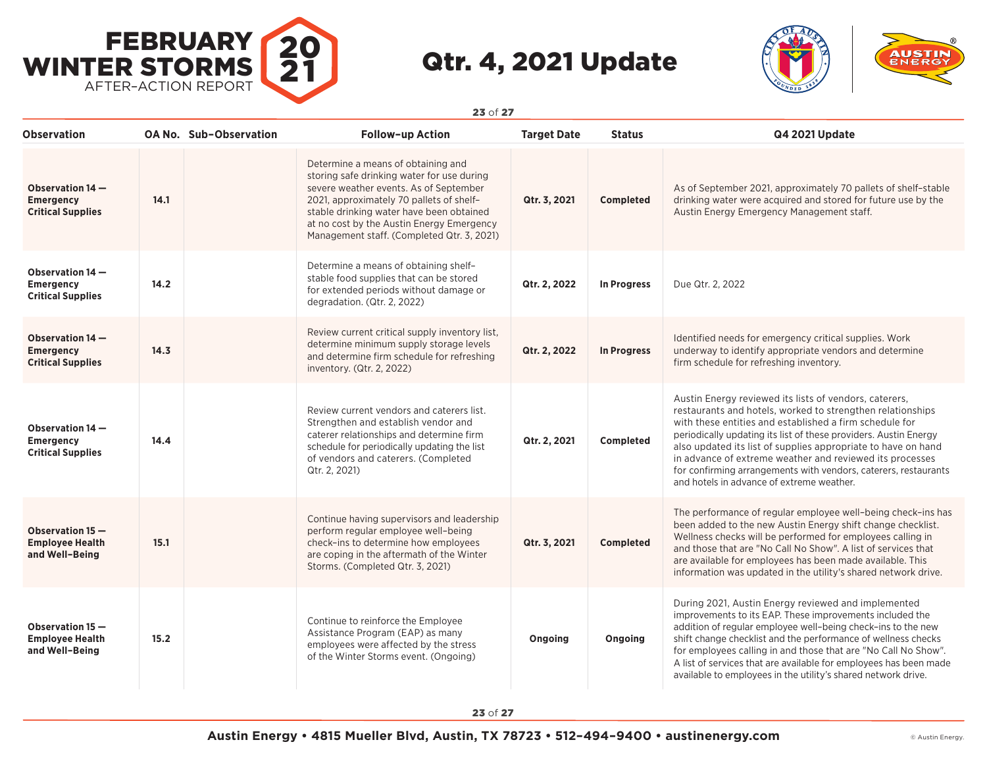



| Observation                                                      |      | <b>OA No. Sub-Observation</b> | <b>Follow-up Action</b>                                                                                                                                                                                                                                                                                       | <b>Target Date</b> | <b>Status</b>      | Q4 2021 Update                                                                                                                                                                                                                                                                                                                                                                                                                                                                                   |
|------------------------------------------------------------------|------|-------------------------------|---------------------------------------------------------------------------------------------------------------------------------------------------------------------------------------------------------------------------------------------------------------------------------------------------------------|--------------------|--------------------|--------------------------------------------------------------------------------------------------------------------------------------------------------------------------------------------------------------------------------------------------------------------------------------------------------------------------------------------------------------------------------------------------------------------------------------------------------------------------------------------------|
| Observation 14 -<br><b>Emergency</b><br><b>Critical Supplies</b> | 14.1 |                               | Determine a means of obtaining and<br>storing safe drinking water for use during<br>severe weather events. As of September<br>2021, approximately 70 pallets of shelf-<br>stable drinking water have been obtained<br>at no cost by the Austin Energy Emergency<br>Management staff. (Completed Qtr. 3, 2021) | Qtr. 3, 2021       | Completed          | As of September 2021, approximately 70 pallets of shelf-stable<br>drinking water were acquired and stored for future use by the<br>Austin Energy Emergency Management staff.                                                                                                                                                                                                                                                                                                                     |
| Observation 14 -<br><b>Emergency</b><br><b>Critical Supplies</b> | 14.2 |                               | Determine a means of obtaining shelf-<br>stable food supplies that can be stored<br>for extended periods without damage or<br>degradation. (Qtr. 2, 2022)                                                                                                                                                     | Qtr. 2, 2022       | <b>In Progress</b> | Due Qtr. 2, 2022                                                                                                                                                                                                                                                                                                                                                                                                                                                                                 |
| Observation 14 -<br><b>Emergency</b><br><b>Critical Supplies</b> | 14.3 |                               | Review current critical supply inventory list,<br>determine minimum supply storage levels<br>and determine firm schedule for refreshing<br>inventory. (Qtr. 2, 2022)                                                                                                                                          | Qtr. 2, 2022       | <b>In Progress</b> | Identified needs for emergency critical supplies. Work<br>underway to identify appropriate vendors and determine<br>firm schedule for refreshing inventory.                                                                                                                                                                                                                                                                                                                                      |
| Observation 14 -<br><b>Emergency</b><br><b>Critical Supplies</b> | 14.4 |                               | Review current vendors and caterers list.<br>Strengthen and establish vendor and<br>caterer relationships and determine firm<br>schedule for periodically updating the list<br>of vendors and caterers. (Completed<br>Qtr. 2, 2021)                                                                           | Qtr. 2, 2021       | Completed          | Austin Energy reviewed its lists of vendors, caterers,<br>restaurants and hotels, worked to strengthen relationships<br>with these entities and established a firm schedule for<br>periodically updating its list of these providers. Austin Energy<br>also updated its list of supplies appropriate to have on hand<br>in advance of extreme weather and reviewed its processes<br>for confirming arrangements with vendors, caterers, restaurants<br>and hotels in advance of extreme weather. |
| Observation 15 -<br><b>Employee Health</b><br>and Well-Being     | 15.1 |                               | Continue having supervisors and leadership<br>perform regular employee well-being<br>check-ins to determine how employees<br>are coping in the aftermath of the Winter<br>Storms. (Completed Qtr. 3, 2021)                                                                                                    | Qtr. 3, 2021       | Completed          | The performance of regular employee well-being check-ins has<br>been added to the new Austin Energy shift change checklist.<br>Wellness checks will be performed for employees calling in<br>and those that are "No Call No Show". A list of services that<br>are available for employees has been made available. This<br>information was updated in the utility's shared network drive.                                                                                                        |
| Observation 15 -<br><b>Employee Health</b><br>and Well-Being     | 15.2 |                               | Continue to reinforce the Employee<br>Assistance Program (EAP) as many<br>employees were affected by the stress<br>of the Winter Storms event. (Ongoing)                                                                                                                                                      | Ongoing            | Ongoing            | During 2021, Austin Energy reviewed and implemented<br>improvements to its EAP. These improvements included the<br>addition of regular employee well-being check-ins to the new<br>shift change checklist and the performance of wellness checks<br>for employees calling in and those that are "No Call No Show".<br>A list of services that are available for employees has been made<br>available to employees in the utility's shared network drive.                                         |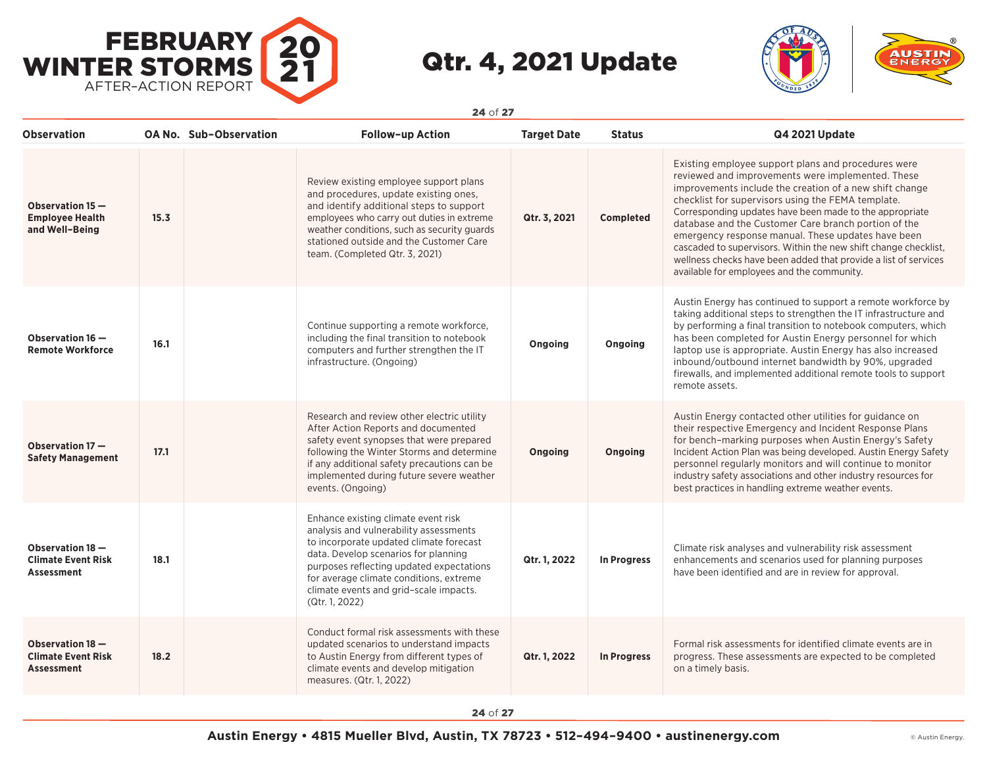



| <b>Observation</b>                                                 |      | <b>OA No. Sub-Observation</b> | <b>Follow-up Action</b>                                                                                                                                                                                                                                                                                             | <b>Target Date</b> | <b>Status</b>      | Q4 2021 Update                                                                                                                                                                                                                                                                                                                                                                                                                                                                                                                                                                         |
|--------------------------------------------------------------------|------|-------------------------------|---------------------------------------------------------------------------------------------------------------------------------------------------------------------------------------------------------------------------------------------------------------------------------------------------------------------|--------------------|--------------------|----------------------------------------------------------------------------------------------------------------------------------------------------------------------------------------------------------------------------------------------------------------------------------------------------------------------------------------------------------------------------------------------------------------------------------------------------------------------------------------------------------------------------------------------------------------------------------------|
| Observation 15-<br><b>Employee Health</b><br>and Well-Being        | 15.3 |                               | Review existing employee support plans<br>and procedures, update existing ones,<br>and identify additional steps to support<br>employees who carry out duties in extreme<br>weather conditions, such as security guards<br>stationed outside and the Customer Care<br>team. (Completed Qtr. 3, 2021)                | Qtr. 3, 2021       | <b>Completed</b>   | Existing employee support plans and procedures were<br>reviewed and improvements were implemented. These<br>improvements include the creation of a new shift change<br>checklist for supervisors using the FEMA template.<br>Corresponding updates have been made to the appropriate<br>database and the Customer Care branch portion of the<br>emergency response manual. These updates have been<br>cascaded to supervisors. Within the new shift change checklist,<br>wellness checks have been added that provide a list of services<br>available for employees and the community. |
| Observation 16 -<br><b>Remote Workforce</b>                        | 16.1 |                               | Continue supporting a remote workforce,<br>including the final transition to notebook<br>computers and further strengthen the IT<br>infrastructure. (Ongoing)                                                                                                                                                       | Ongoing            | Ongoing            | Austin Energy has continued to support a remote workforce by<br>taking additional steps to strengthen the IT infrastructure and<br>by performing a final transition to notebook computers, which<br>has been completed for Austin Energy personnel for which<br>laptop use is appropriate. Austin Energy has also increased<br>inbound/outbound internet bandwidth by 90%, upgraded<br>firewalls, and implemented additional remote tools to support<br>remote assets.                                                                                                                 |
| Observation 17-<br><b>Safety Management</b>                        | 17.1 |                               | Research and review other electric utility<br>After Action Reports and documented<br>safety event synopses that were prepared<br>following the Winter Storms and determine<br>if any additional safety precautions can be<br>implemented during future severe weather<br>events. (Ongoing)                          | Ongoing            | Ongoing            | Austin Energy contacted other utilities for guidance on<br>their respective Emergency and Incident Response Plans<br>for bench-marking purposes when Austin Energy's Safety<br>Incident Action Plan was being developed. Austin Energy Safety<br>personnel regularly monitors and will continue to monitor<br>industry safety associations and other industry resources for<br>best practices in handling extreme weather events.                                                                                                                                                      |
| Observation 18 -<br><b>Climate Event Risk</b><br><b>Assessment</b> | 18.1 |                               | Enhance existing climate event risk<br>analysis and vulnerability assessments<br>to incorporate updated climate forecast<br>data. Develop scenarios for planning<br>purposes reflecting updated expectations<br>for average climate conditions, extreme<br>climate events and grid-scale impacts.<br>(Qtr. 1, 2022) | Qtr. 1, 2022       | <b>In Progress</b> | Climate risk analyses and vulnerability risk assessment<br>enhancements and scenarios used for planning purposes<br>have been identified and are in review for approval.                                                                                                                                                                                                                                                                                                                                                                                                               |
| Observation 18 -<br><b>Climate Event Risk</b><br><b>Assessment</b> | 18.2 |                               | Conduct formal risk assessments with these<br>updated scenarios to understand impacts<br>to Austin Energy from different types of<br>climate events and develop mitigation<br>measures. (Qtr. 1, 2022)                                                                                                              | Qtr. 1, 2022       | In Progress        | Formal risk assessments for identified climate events are in<br>progress. These assessments are expected to be completed<br>on a timely basis.                                                                                                                                                                                                                                                                                                                                                                                                                                         |